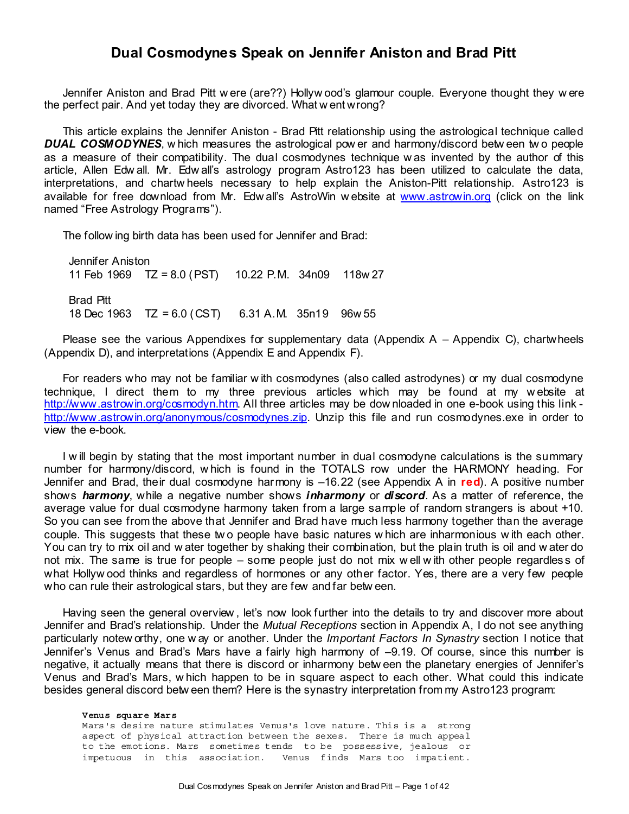## **Dual Cosmodynes Speak on Jennifer Aniston and Brad Pitt**

Jennifer Aniston and Brad Pitt w ere (are??) Hollyw ood's glamour couple. Everyone thought they w ere the perfect pair. And yet today they are divorced. What w ent wrong?

This article explains the Jennifer Aniston - Brad Pitt relationship using the astrological technique called *DUAL COSMODYNES*, w hich measures the astrological pow er and harmony/discord betw een tw o people as a measure of their compatibility. The dual cosmodynes technique w as invented by the author of this article, Allen Edw all. Mr. Edw all's astrology program Astro123 has been utilized to calculate the data, interpretations, and chartw heels necessary to help explain the Aniston-Pitt relationship. Astro123 is available for free download from Mr. Edw all's AstroWin w ebsite at www.astrowin.org (click on the link named "Free Astrology Programs").

The follow ing birth data has been used for Jennifer and Brad:

 Jennifer Aniston 11 Feb 1969 TZ = 8.0 (PST) 10.22 P.M. 34n09 118w 27 Brad Pitt 18 Dec 1963 TZ = 6.0 (CST) 6.31 A.M. 35n19 96w 55

Please see the various Appendixes for supplementary data (Appendix  $A - A$ ppendix C), chartwheels (Appendix D), and interpretations (Appendix E and Appendix F).

For readers who may not be familiar w ith cosmodynes (also called astrodynes) or my dual cosmodyne technique, I direct them to my three previous articles which may be found at my w ebsite at http://www.astrowin.org/cosmodyn.htm. All three articles may be dow nloaded in one e-book using this link http://www.astrowin.org/anonymous/cosmodynes.zip. Unzip this file and run cosmodynes.exe in order to view the e-book.

I w ill begin by stating that the most important number in dual cosmodyne calculations is the summary number for harmony/discord, w hich is found in the TOTALS row under the HARMONY heading. For Jennifer and Brad, their dual cosmodyne harmony is –16.22 (see Appendix A in **red**). A positive number shows *harmony*, while a negative number shows *inharmony* or *discord*. As a matter of reference, the average value for dual cosmodyne harmony taken from a large sample of random strangers is about +10. So you can see from the above that Jennifer and Brad have much less harmony together than the average couple. This suggests that these tw o people have basic natures w hich are inharmonious w ith each other. You can try to mix oil and w ater together by shaking their combination, but the plain truth is oil and w ater do not mix. The same is true for people – some people just do not mix w ell w ith other people regardless of what Hollyw ood thinks and regardless of hormones or any other factor. Yes, there are a very few people who can rule their astrological stars, but they are few and far betw een.

Having seen the general overview , let's now look further into the details to try and discover more about Jennifer and Brad's relationship. Under the *Mutual Receptions* section in Appendix A, I do not see anything particularly notew orthy, one w ay or another. Under the *Important Factors In Synastry* section I notice that Jennifer's Venus and Brad's Mars have a fairly high harmony of –9.19. Of course, since this number is negative, it actually means that there is discord or inharmony betw een the planetary energies of Jennifer's Venus and Brad's Mars, w hich happen to be in square aspect to each other. What could this indicate besides general discord betw een them? Here is the synastry interpretation from my Astro123 program:

**Venus square Mars**

Mars's desire nature stimulates Venus's love nature. This is a strong aspect of physical attraction between the sexes. There is much appeal to the emotions. Mars sometimes tends to be possessive, jealous or impetuous in this association. Venus finds Mars too impatient.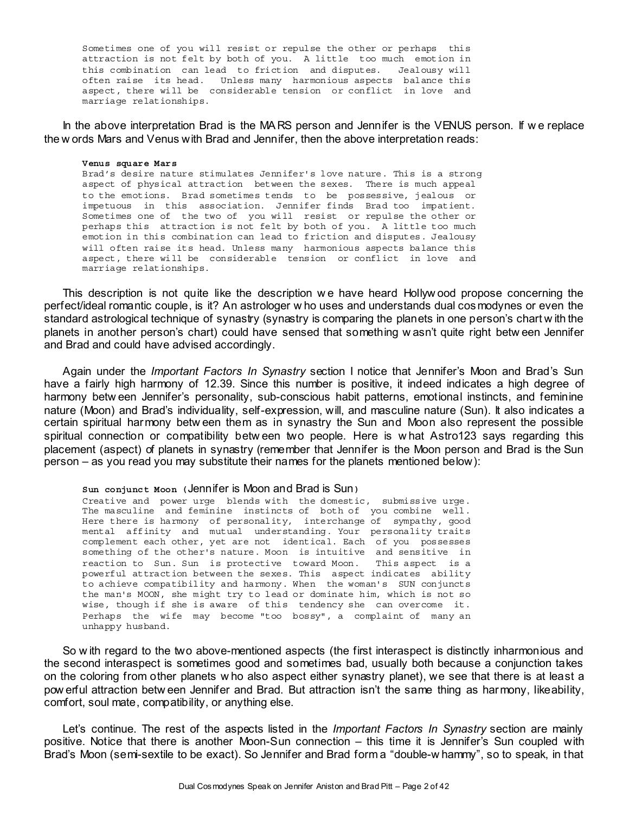Sometimes one of you will resist or repulse the other or perhaps this attraction is not felt by both of you. A little too much emotion in this combination can lead to friction and disputes. Jealousy will often raise its head. Unless many harmonious aspects balance this aspect, there will be considerable tension or conflict in love and marriage relationships.

In the above interpretation Brad is the MA RS person and Jennifer is the VENUS person. If w e replace the w ords Mars and Venus with Brad and Jennifer, then the above interpretation reads:

### **Venus square Mars**

Brad's desire nature stimulates Jennifer's love nature. This is a strong aspect of physical attraction between the sexes. There is much appeal to the emotions. Brad sometimes tends to be possessive, jealous or impetuous in this association. Jennifer finds Brad too impatient. Sometimes one of the two of you will resist or repulse the other or perhaps this attraction is not felt by both of you. A little too much emotion in this combination can lead to friction and disputes. Jealousy will often raise its head. Unless many harmonious aspects balance this aspect, there will be considerable tension or conflict in love and marriage relationships.

This description is not quite like the description we have heard Hollyw ood propose concerning the perfect/ideal romantic couple, is it? An astrologer w ho uses and understands dual cosmodynes or even the standard astrological technique of synastry (synastry is comparing the planets in one person's chart w ith the planets in another person's chart) could have sensed that something w asn't quite right betw een Jennifer and Brad and could have advised accordingly.

Again under the *Important Factors In Synastry* section I notice that Jennifer's Moon and Brad's Sun have a fairly high harmony of 12.39. Since this number is positive, it indeed indicates a high degree of harmony betw een Jennifer's personality, sub-conscious habit patterns, emotional instincts, and feminine nature (Moon) and Brad's individuality, self-expression, will, and masculine nature (Sun). It also indicates a certain spiritual harmony betw een them as in synastry the Sun and Moon also represent the possible spiritual connection or compatibility betw een two people. Here is w hat Astro123 says regarding this placement (aspect) of planets in synastry (remember that Jennifer is the Moon person and Brad is the Sun person – as you read you may substitute their names for the planets mentioned below):

## **Sun conjunct Moon (**Jennifer is Moon and Brad is Sun**)**

Creative and power urge blends with the domestic, submissive urge. The masculine and feminine instincts of both of you combine well. Here there is harmony of personality, interchange of sympathy, good mental affinity and mutual understanding. Your personality traits complement each other, yet are not identical. Each of you possesses something of the other's nature. Moon is intuitive and sensitive in reaction to Sun. Sun is protective toward Moon. This aspect is a powerful attraction between the sexes. This aspect indicates ability to achieve compatibility and harmony. When the woman's SUN conjuncts the man's MOON, she might try to lead or dominate him, which is not so wise, though if she is aware of this tendency she can overcome it. Perhaps the wife may become "too bossy", a complaint of many an unhappy husband.

So w ith regard to the two above-mentioned aspects (the first interaspect is distinctly inharmonious and the second interaspect is sometimes good and sometimes bad, usually both because a conjunction takes on the coloring from other planets w ho also aspect either synastry planet), we see that there is at least a pow erful attraction betw een Jennifer and Brad. But attraction isn't the same thing as harmony, likeability, comfort, soul mate, compatibility, or anything else.

Let's continue. The rest of the aspects listed in the *Important Factors In Synastry* section are mainly positive. Notice that there is another Moon-Sun connection – this time it is Jennifer's Sun coupled with Brad's Moon (semi-sextile to be exact). So Jennifer and Brad form a "double-w hammy", so to speak, in that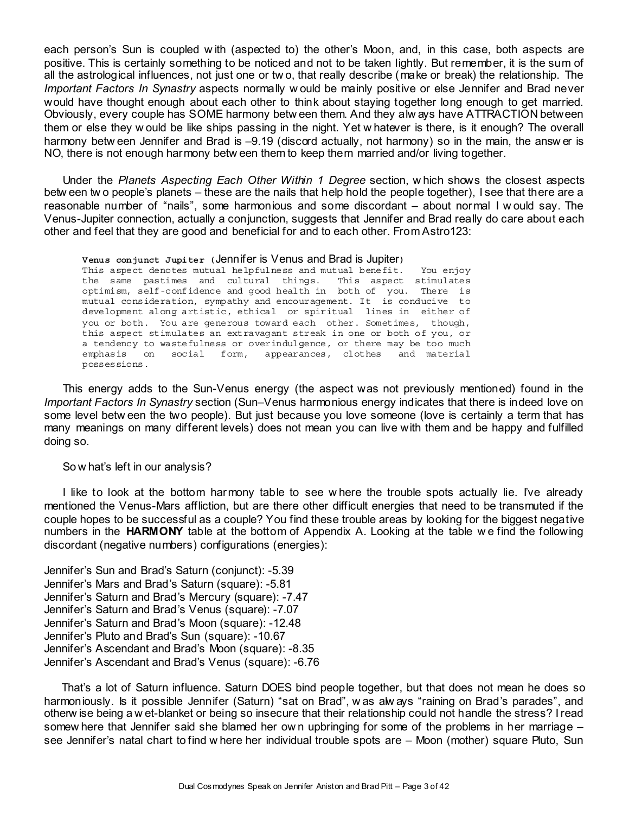each person's Sun is coupled w ith (aspected to) the other's Moon, and, in this case, both aspects are positive. This is certainly something to be noticed and not to be taken lightly. But remember, it is the sum of all the astrological influences, not just one or tw o, that really describe (make or break) the relationship. The *Important Factors In Synastry* aspects normally w ould be mainly positive or else Jennifer and Brad never would have thought enough about each other to think about staying together long enough to get married. Obviously, every couple has SOME harmony betw een them. And they alw ays have ATTRACTION between them or else they w ould be like ships passing in the night. Yet w hatever is there, is it enough? The overall harmony betw een Jennifer and Brad is -9.19 (discord actually, not harmony) so in the main, the answ er is NO, there is not enough harmony betw een them to keep them married and/or living together.

Under the *Planets Aspecting Each Other Within 1 Degree* section, w hich shows the closest aspects betw een tw o people's planets – these are the nails that help hold the people together), I see that there are a reasonable number of "nails", some harmonious and some discordant – about normal I w ould say. The Venus-Jupiter connection, actually a conjunction, suggests that Jennifer and Brad really do care about each other and feel that they are good and beneficial for and to each other. From Astro123:

## **Venus conjunct Jupiter (**Jennifer is Venus and Brad is Jupiter**)**

This aspect denotes mutual helpfulness and mutual benefit. You enjoy the same pastimes and cultural things. This aspect stimulates optimism, self-confidence and good health in both of you. There is mutual consideration, sympathy and encouragement. It is conducive to development along artistic, ethical or spiritual lines in either of you or both. You are generous toward each other. Sometimes, though, this aspect stimulates an extravagant streak in one or both of you, or a tendency to wastefulness or overindulgence, or there may be too much emphasis on social form, appearances, clothes and material possessions.

This energy adds to the Sun-Venus energy (the aspect was not previously mentioned) found in the *Important Factors In Synastry* section (Sun–Venus harmonious energy indicates that there is indeed love on some level betw een the two people). But just because you love someone (love is certainly a term that has many meanings on many different levels) does not mean you can live with them and be happy and fulfilled doing so.

## So w hat's left in our analysis?

I like to look at the bottom harmony table to see w here the trouble spots actually lie. I've already mentioned the Venus-Mars affliction, but are there other difficult energies that need to be transmuted if the couple hopes to be successful as a couple? You find these trouble areas by looking for the biggest negative numbers in the **HARMONY** table at the bottom of Appendix A. Looking at the table w e find the following discordant (negative numbers) configurations (energies):

Jennifer's Sun and Brad's Saturn (conjunct): -5.39 Jennifer's Mars and Brad's Saturn (square): -5.81 Jennifer's Saturn and Brad's Mercury (square): -7.47 Jennifer's Saturn and Brad's Venus (square): -7.07 Jennifer's Saturn and Brad's Moon (square): -12.48 Jennifer's Pluto and Brad's Sun (square): -10.67 Jennifer's Ascendant and Brad's Moon (square): -8.35 Jennifer's Ascendant and Brad's Venus (square): -6.76

That's a lot of Saturn influence. Saturn DOES bind people together, but that does not mean he does so harmoniously. Is it possible Jennifer (Saturn) "sat on Brad", w as alw ays "raining on Brad's parades", and otherw ise being a w et-blanket or being so insecure that their relationship could not handle the stress? I read somew here that Jennifer said she blamed her ow n upbringing for some of the problems in her marriage – see Jennifer's natal chart to find w here her individual trouble spots are – Moon (mother) square Pluto, Sun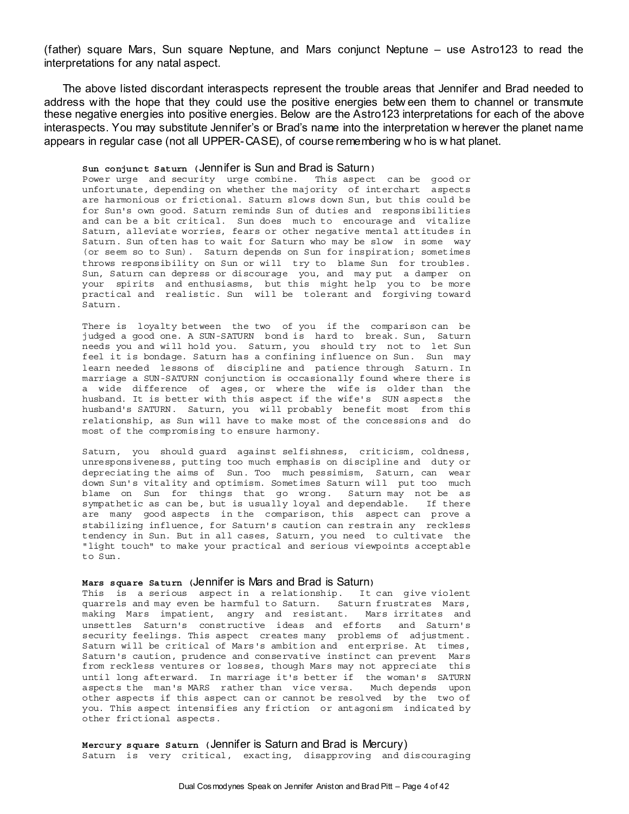(father) square Mars, Sun square Neptune, and Mars conjunct Neptune – use Astro123 to read the interpretations for any natal aspect.

The above listed discordant interaspects represent the trouble areas that Jennifer and Brad needed to address with the hope that they could use the positive energies betw een them to channel or transmute these negative energies into positive energies. Below are the Astro123 interpretations for each of the above interaspects. You may substitute Jennifer's or Brad's name into the interpretation w herever the planet name appears in regular case (not all UPPER-CASE), of course remembering w ho is w hat planet.

### **Sun conjunct Saturn (**Jennifer is Sun and Brad is Saturn**)**

Power urge and security urge combine. This aspect can be good or unfortunate, depending on whether the majority of interchart aspects are harmonious or frictional. Saturn slows down Sun, but this could be for Sun's own good. Saturn reminds Sun of duties and responsibilities and can be a bit critical. Sun does much to encourage and vitalize Saturn, alleviate worries, fears or other negative mental attitudes in Saturn. Sun often has to wait for Saturn who may be slow in some way (or seem so to Sun). Saturn depends on Sun for inspiration; sometimes throws responsibility on Sun or will try to blame Sun for troubles. Sun, Saturn can depress or discourage you, and may put a damper on your spirits and enthusiasms, but this might help you to be more practical and realistic. Sun will be tolerant and forgiving toward Saturn.

There is loyalty between the two of you if the comparison can be judged a good one. A SUN-SATURN bond is hard to break. Sun, Saturn needs you and will hold you. Saturn, you should try not to let Sun feel it is bondage. Saturn has a confining influence on Sun. Sun may learn needed lessons of discipline and patience through Saturn. In marriage a SUN-SATURN conjunction is occasionally found where there is a wide difference of ages, or where the wife is older than the husband. It is better with this aspect if the wife's SUN aspects the husband's SATURN. Saturn, you will probably benefit most from this relationship, as Sun will have to make most of the concessions and do most of the compromising to ensure harmony.

Saturn, you should guard against selfishness, criticism, coldness, unresponsiveness, putting too much emphasis on discipline and duty or depreciating the aims of Sun. Too much pessimism, Saturn, can wear down Sun's vitality and optimism. Sometimes Saturn will put too much blame on Sun for things that go wrong. Saturn may not be as sympathetic as can be, but is usually loyal and dependable. If there are many good aspects in the comparison, this aspect can prove a stabilizing influence, for Saturn's caution can restrain any reckless tendency in Sun. But in all cases, Saturn, you need to cultivate the "light touch" to make your practical and serious viewpoints acceptable to Sun.

## **Mars square Saturn (**Jennifer is Mars and Brad is Saturn**)**

This is a serious aspect in a relationship. It can give violent quarrels and may even be harmful to Saturn. Saturn frustrates Mars, making Mars impatient, angry and resistant. Mars irritates and unsettles Saturn's constructive ideas and efforts and Saturn's security feelings. This aspect creates many problems of adjustment. Saturn will be critical of Mars's ambition and enterprise. At times, Saturn's caution, prudence and conservative instinct can prevent Mars from reckless ventures or losses, though Mars may not appreciate this until long afterward. In marriage it's better if the woman's SATURN aspects the man's MARS rather than vice versa. Much depends upon other aspects if this aspect can or cannot be resolved by the two of you. This aspect intensifies any friction or antagonism indicated by other frictional aspects.

### **Mercury square Saturn (**Jennifer is Saturn and Brad is Mercury) Saturn is very critical, exacting, disapproving and discouraging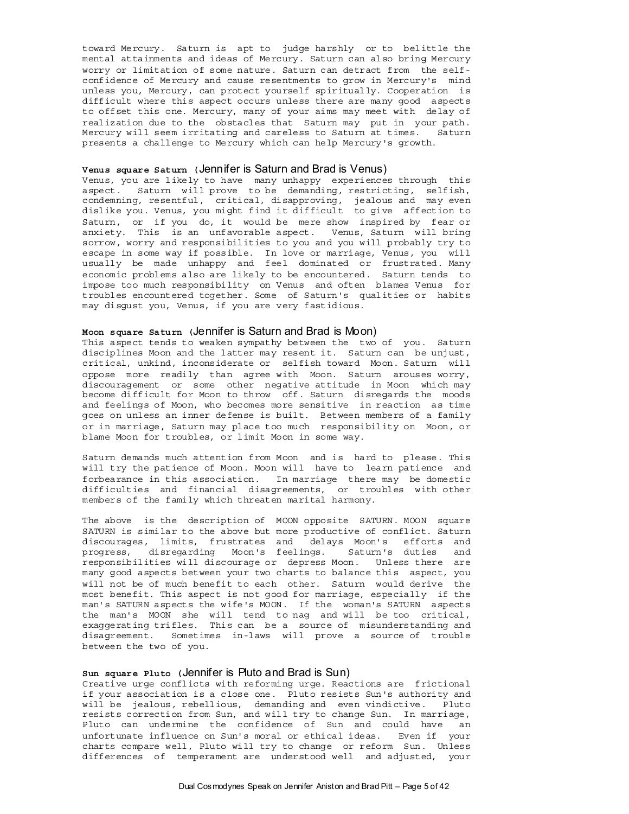toward Mercury. Saturn is apt to judge harshly or to belittle the mental attainments and ideas of Mercury. Saturn can also bring Mercury worry or limitation of some nature. Saturn can detract from the selfconfidence of Mercury and cause resentments to grow in Mercury's mind unless you, Mercury, can protect yourself spiritually. Cooperation is difficult where this aspect occurs unless there are many good aspects to offset this one. Mercury, many of your aims may meet with delay of realization due to the obstacles that Saturn may put in your path. Mercury will seem irritating and careless to Saturn at times. Saturn presents a challenge to Mercury which can help Mercury's growth.

## **Venus square Saturn (**Jennifer is Saturn and Brad is Venus)

Venus, you are likely to have many unhappy experiences through this aspect. Saturn will prove to be demanding, restricting, selfish, condemning, resentful, critical, disapproving, jealous and may even dislike you. Venus, you might find it difficult to give affection to Saturn, or if you do, it would be mere show inspired by fear or anxiety. This is an unfavorable aspect. Venus, Saturn will bring sorrow, worry and responsibilities to you and you will probably try to escape in some way if possible. In love or marriage, Venus, you will usually be made unhappy and feel dominated or frustrated. Many economic problems also are likely to be encountered. Saturn tends to impose too much responsibility on Venus and often blames Venus for troubles encountered together. Some of Saturn's qualities or habits may disgust you, Venus, if you are very fastidious.

### **Moon square Saturn (**Jennifer is Saturn and Brad is Moon)

This aspect tends to weaken sympathy between the two of you. Saturn disciplines Moon and the latter may resent it. Saturn can be unjust, critical, unkind, inconsiderate or selfish toward Moon. Saturn will oppose more readily than agree with Moon. Saturn arouses worry, discouragement or some other negative attitude in Moon which may become difficult for Moon to throw off. Saturn disregards the moods and feelings of Moon, who becomes more sensitive in reaction as time goes on unless an inner defense is built. Between members of a family or in marriage, Saturn may place too much responsibility on Moon, or blame Moon for troubles, or limit Moon in some way.

Saturn demands much attention from Moon and is hard to please. This will try the patience of Moon. Moon will have to learn patience and forbearance in this association. In marriage there may be domestic difficulties and financial disagreements, or troubles with other members of the family which threaten marital harmony.

The above is the description of MOON opposite SATURN. MOON square SATURN is similar to the above but more productive of conflict. Saturn discourages, limits, frustrates and delays Moon's efforts and progress, disregarding Moon's feelings. Saturn's duties and responsibilities will discourage or depress Moon. Unless there are many good aspects between your two charts to balance this aspect, you will not be of much benefit to each other. Saturn would derive the most benefit. This aspect is not good for marriage, especially if the man's SATURN aspects the wife's MOON. If the woman's SATURN aspects the man's MOON she will tend to nag and will be too critical, exaggerating trifles. This can be a source of misunderstanding and disagreement. Sometimes in-laws will prove a source of trouble between the two of you.

### **Sun square Pluto (**Jennifer is Pluto and Brad is Sun)

Creative urge conflicts with reforming urge. Reactions are frictional if your association is a close one. Pluto resists Sun's authority and will be jealous, rebellious, demanding and even vindictive. Pluto resists correction from Sun, and will try to change Sun. In marriage, Pluto can undermine the confidence of Sun and could have an unfortunate influence on Sun's moral or ethical ideas. Even if your charts compare well, Pluto will try to change or reform Sun. Unless differences of temperament are understood well and adjusted, your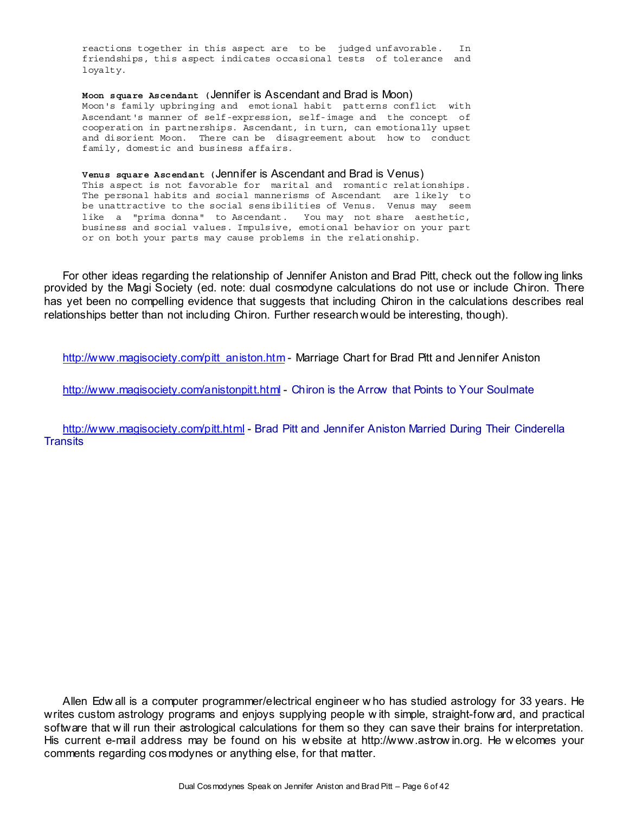reactions together in this aspect are to be judged unfavorable. In friendships, this aspect indicates occasional tests of tolerance and loyalty.

## **Moon square Ascendant (**Jennifer is Ascendant and Brad is Moon)

Moon's family upbringing and emotional habit patterns conflict with Ascendant's manner of self-expression, self-image and the concept of cooperation in partnerships. Ascendant, in turn, can emotionally upset and disorient Moon. There can be disagreement about how to conduct family, domestic and business affairs.

## **Venus square Ascendant (**Jennifer is Ascendant and Brad is Venus)

This aspect is not favorable for marital and romantic relationships. The personal habits and social mannerisms of Ascendant are likely to be unattractive to the social sensibilities of Venus. Venus may seem like a "prima donna" to Ascendant. You may not share aesthetic, business and social values. Impulsive, emotional behavior on your part or on both your parts may cause problems in the relationship.

For other ideas regarding the relationship of Jennifer Aniston and Brad Pitt, check out the follow ing links provided by the Magi Society (ed. note: dual cosmodyne calculations do not use or include Chiron. There has yet been no compelling evidence that suggests that including Chiron in the calculations describes real relationships better than not including Chiron. Further research would be interesting, though).

http://www.magisociety.com/pitt\_aniston.htm - Marriage Chart for Brad Pitt and Jennifer Aniston

http://www.magisociety.com/anistonpitt.html - Chiron is the Arrow that Points to Your Soulmate

http://www.magisociety.com/pitt.html - Brad Pitt and Jennifer Aniston Married During Their Cinderella **Transits** 

Allen Edw all is a computer programmer/electrical engineer w ho has studied astrology for 33 years. He writes custom astrology programs and enjoys supplying people w ith simple, straight-forw ard, and practical software that w ill run their astrological calculations for them so they can save their brains for interpretation. His current e-mail address may be found on his w ebsite at http://www.astrow in.org. He w elcomes your comments regarding cosmodynes or anything else, for that matter.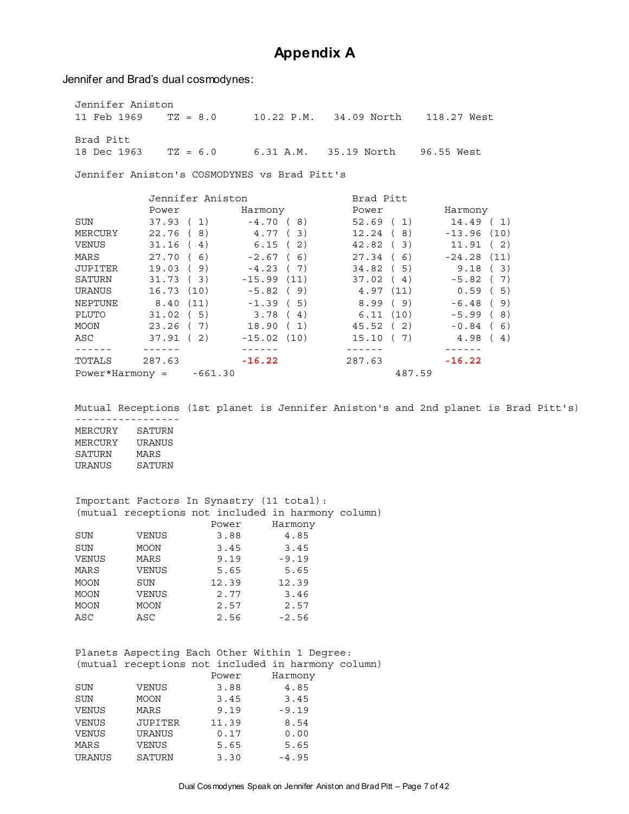# **Appendix A**

Jennifer and Brad's dual cosmodynes:

Jennifer Aniston 11 Feb 1969 TZ = 8.0 10.22 P.M. 34.09 North 118.27 West Brad Pitt 18 Dec 1963 TZ = 6.0 6.31 A.M. 35.19 North 96.55 West

Jennifer Aniston's COSMODYNES vs Brad Pitt's

|                   | Jennifer Aniston |           |            |      | Brad Pitt |        |              |      |
|-------------------|------------------|-----------|------------|------|-----------|--------|--------------|------|
|                   | Power            |           | Harmony    |      | Power     |        | Harmony      |      |
| SUN               | 37.93(1)         |           | $-4.70(8)$ |      | 52.69(1)  |        | 14.49(1)     |      |
| MERCURY           | 22.76(8)         |           | 4.77 (3)   |      | 12.24     | (8)    | $-13.96(10)$ |      |
| VENUS             | 31.16(4)         |           | 6.15 (2)   |      | 42.82(3)  |        | 11.91        | (2)  |
| MARS              | 27.70(6)         |           | $-2.67(6)$ |      | 27.34(6)  |        | $-24.28$     | (11) |
| JUPITER           | 19.03(9)         |           | $-4.23$    | (7)  | 34.82     | (5)    | 9.18         | (3)  |
| SATURN            | 31.73(3)         |           | $-15.99$   | (11) | 37.02(4)  |        | $-5.82(7)$   |      |
| URANUS            | 16.73(10)        |           | $-5.82$    | (9)  | 4.97 (11) |        | 0.59         | 5)   |
| NEPTUNE           | 8.40(11)         |           | $-1.39$    | ( 5) | 8.99      | (9)    | $-6.48$      | 9)   |
| PLUTO             | 31.02(5)         |           | 3.78       | 4)   | 6.11(10)  |        | $-5.99$      | 8)   |
| MOON              | 23.26(7)         |           | 18.90      | ( 1) | 45.52(2)  |        | $-0.84$      | 6)   |
| ASC               | 37.91(2)         |           | $-15.02$   | (10) | 15.10     | (7)    | 4.98         | 4)   |
|                   |                  |           |            |      |           |        |              |      |
| TOTALS            | 287.63           |           | $-16.22$   |      | 287.63    |        | $-16.22$     |      |
| $Power*Harmony =$ |                  | $-661.30$ |            |      |           | 487.59 |              |      |

Mutual Receptions (1st planet is Jennifer Aniston's and 2nd planet is Brad Pitt's) ----------------- MERCURY SATURN MERCURY URANUS

SATURN MARS URANUS SATURN

|              |              | Important Factors In Synastry (11 total):          |         |  |
|--------------|--------------|----------------------------------------------------|---------|--|
|              |              | (mutual receptions not included in harmony column) |         |  |
|              |              | Power                                              | Harmony |  |
| SUN          | <b>VENUS</b> | 3.88                                               | 4.85    |  |
| SUN          | MOON         | 3.45                                               | 3.45    |  |
| <b>VENUS</b> | <b>MARS</b>  | 9.19                                               | $-9.19$ |  |
| MARS         | <b>VENUS</b> | 5.65                                               | 5.65    |  |
| <b>MOON</b>  | SUN          | 12.39                                              | 12.39   |  |
| MOON         | <b>VENUS</b> | 2.77                                               | 3.46    |  |
| MOON         | MOON         | 2.57                                               | 2.57    |  |
| ASC          | ASC          | 2.56                                               | $-2.56$ |  |

Planets Aspecting Each Other Within 1 Degree: (mutual receptions not included in harmony column)

|               |               | Power | Harmony |
|---------------|---------------|-------|---------|
| SUN           | <b>VENUS</b>  | 3.88  | 4.85    |
| SUN           | <b>MOON</b>   | 3.45  | 3.45    |
| VENUS         | <b>MARS</b>   | 9.19  | $-9.19$ |
| <b>VENUS</b>  | JUPITER       | 11.39 | 8.54    |
| <b>VENUS</b>  | <b>URANUS</b> | 0.17  | 0.00    |
| MARS          | <b>VENUS</b>  | 5.65  | 5.65    |
| <b>URANUS</b> | <b>SATURN</b> | 3.30  | $-4.95$ |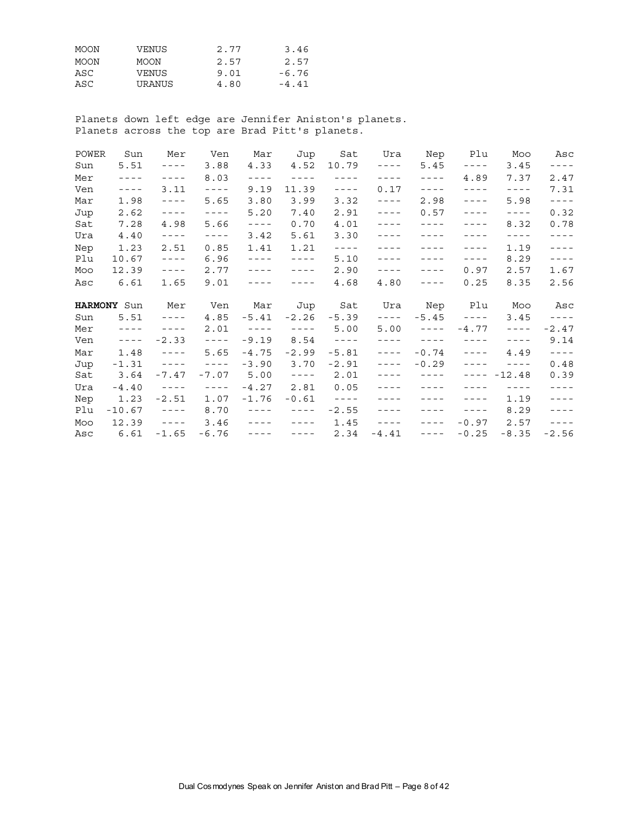| MOON | <b>VENUS</b>  | 2.77 | 3.46    |
|------|---------------|------|---------|
| MOON | <b>MOON</b>   | 2.57 | 2.57    |
| ASC  | <b>VENUS</b>  | 9.01 | $-6.76$ |
| ASC  | <b>URANUS</b> | 4.80 | $-4.41$ |

Planets down left edge are Jennifer Aniston's planets. Planets across the top are Brad Pitt's planets.

| POWER | Sun                | Mer         | Ven         | Mar         | Jup         | Sat         | Ura         | Nep         | Plu         | Moo           | Asc         |
|-------|--------------------|-------------|-------------|-------------|-------------|-------------|-------------|-------------|-------------|---------------|-------------|
| Sun   | 5.51               | $- - - - -$ | 3.88        | 4.33        | 4.52        | 10.79       | $- - - - -$ | 5.45        | $- - - - -$ | 3.45          | $- - - - -$ |
| Mer   | $- - - - -$        | $- - - - -$ | 8.03        | $- - - -$   | $- - - - -$ | $- - - - -$ | $- - - - -$ | $- - - - -$ | 4.89        | 7.37          | 2.47        |
| Ven   | $- - - - -$        | 3.11        | $- - - - -$ | 9.19        | 11.39       | $- - - -$   | 0.17        | $- - - - -$ | $- - - -$   | $- - - - -$   | 7.31        |
| Mar   | 1.98               | $- - - - -$ | 5.65        | 3.80        | 3.99        | 3.32        | $- - - - -$ | 2.98        | $- - - - -$ | 5.98          | $- - - - -$ |
| Jup   | 2.62               | $- - - - -$ | $- - - - -$ | 5.20        | 7.40        | 2.91        | $- - - - -$ | 0.57        | $- - - - -$ | $- - - - -$   | 0.32        |
| Sat   | 7.28               | 4.98        | 5.66        | $- - - - -$ | 0.70        | 4.01        | $- - - -$   | $- - - - -$ | $- - - - -$ | 8.32          | 0.78        |
| Ura   | 4.40               | $- - - - -$ | $- - - -$   | 3.42        | 5.61        | 3.30        | $- - - -$   | $- - - -$   | $- - - -$   | $- - - - -$   | $- - - - -$ |
| Nep   | 1.23               | 2.51        | 0.85        | 1.41        | 1.21        | $- - - - -$ | $- - - -$   | $- - - -$   | $- - - - -$ | 1.19          | $- - - - -$ |
| Plu   | 10.67              | $- - - - -$ | 6.96        | $- - - - -$ | $- - - - -$ | 5.10        | $- - - - -$ | $- - - -$   | $- - - - -$ | 8.29          | $- - - - -$ |
| Moo   | 12.39              | $- - - - -$ | 2.77        | $- - - -$   | $- - - - -$ | 2.90        | $- - - -$   | $- - - -$   | 0.97        | 2.57          | 1.67        |
| Asc   | 6.61               | 1.65        | 9.01        | ----        | $- - - -$   | 4.68        | 4.80        | ----        | 0.25        | 8.35          | 2.56        |
|       | <b>HARMONY</b> Sun | Mer         | Ven         | Mar         | Jup         | Sat         | Ura         | Nep         | Plu         | Moo           | Asc         |
| Sun   | 5.51               | $- - - - -$ | 4.85        | $-5.41$     | $-2.26$     | $-5.39$     | $- - - -$   | $-5.45$     | $- - - - -$ | 3.45          | $- - - - -$ |
| Mer   | $- - - - -$        | $- - - - -$ | 2.01        | $- - - - -$ | $- - - - -$ | 5.00        | 5.00        | $- - - - -$ | $-4.77$     | $- - - - -$   | $-2.47$     |
| Ven   | $- - - - -$        |             |             |             |             |             |             |             |             |               |             |
| Mar   |                    | $-2.33$     | $- - - - -$ | $-9.19$     | 8.54        | $- - - - -$ | $- - - - -$ | $- - - - -$ | $- - - - -$ | $\frac{1}{2}$ | 9.14        |
|       | 1.48               | $- - - - -$ | 5.65        | $-4.75$     | $-2.99$     | $-5.81$     | $- - - - -$ | $-0.74$     | $- - - -$   | 4.49          | $- - - - -$ |
| Jup   | $-1.31$            | $- - - - -$ | $- - - - -$ | $-3.90$     | 3.70        | $-2.91$     | $- - - - -$ | $-0.29$     | $- - - - -$ | $- - - - -$   | 0.48        |
| Sat   | 3.64               | $-7.47$     | $-7.07$     | 5.00        | $- - - - -$ | 2.01        | $- - - -$   | $- - - -$   | $- - - - -$ | $-12.48$      | 0.39        |
| Ura   | $-4.40$            | $- - - - -$ | $- - - - -$ | $-4.27$     | 2.81        | 0.05        | $- - - - -$ | $- - - -$   | $- - - - -$ | $- - - - -$   | $- - - - -$ |
| Nep   | 1.23               | $-2.51$     | 1.07        | $-1.76$     | $-0.61$     | $- - - - -$ | $- - - -$   | $- - - - -$ | $- - - - -$ | 1.19          | $= - - -$   |
| Plu   | $-10.67$           | $- - - - -$ | 8.70        | $- - - - -$ | $- - - - -$ | $-2.55$     | $- - - - -$ | $- - - - -$ | $- - - - -$ | 8.29          | $- - - - -$ |
| Moo   | 12.39              | $- - - - -$ | 3.46        | $- - - - -$ | $- - - - -$ | 1.45        | $- - - - -$ | $- - - - -$ | $-0.97$     | 2.57          | $- - - - -$ |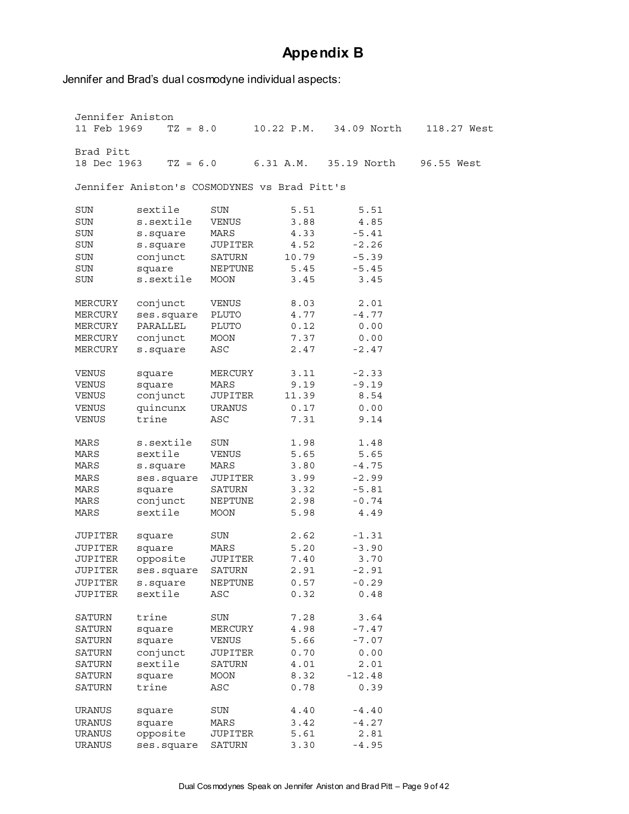# **Appendix B**

Jennifer and Brad's dual cosmodyne individual aspects:

| Jennifer Aniston<br>11 Feb 1969 | $TZ = 8.0$                                   |         |       | 10.22 P.M. 34.09 North                     | 118.27 West |
|---------------------------------|----------------------------------------------|---------|-------|--------------------------------------------|-------------|
| Brad Pitt                       |                                              |         |       | 18 Dec 1963 TZ = 6.0 6.31 A.M. 35.19 North | 96.55 West  |
|                                 | Jennifer Aniston's COSMODYNES vs Brad Pitt's |         |       |                                            |             |
|                                 |                                              |         |       |                                            |             |
| SUN                             | sextile                                      | SUN     | 5.51  | 5.51                                       |             |
| SUN                             | s.sextile                                    | VENUS   | 3.88  | 4.85                                       |             |
| SUN                             | s.square                                     | MARS    | 4.33  | $-5.41$                                    |             |
| SUN                             | s.square                                     | JUPITER | 4.52  | $-2.26$                                    |             |
| SUN                             | conjunct                                     | SATURN  | 10.79 | $-5.39$                                    |             |
| SUN                             | square                                       | NEPTUNE | 5.45  | $-5.45$                                    |             |
| SUN                             | s.sextile                                    | MOON    | 3.45  | 3.45                                       |             |
| MERCURY                         | conjunct                                     | VENUS   | 8.03  | 2.01                                       |             |
| MERCURY                         | ses.square PLUTO                             |         | 4.77  | $-4.77$                                    |             |
| MERCURY                         | PARALLEL                                     | PLUTO   | 0.12  | 0.00                                       |             |
| MERCURY                         | conjunct                                     | MOON    | 7.37  | 0.00                                       |             |
| MERCURY                         | s.square                                     | ASC     | 2.47  | $-2.47$                                    |             |
| <b>VENUS</b>                    | square                                       | MERCURY | 3.11  | $-2.33$                                    |             |
| VENUS                           | square                                       | MARS    | 9.19  | $-9.19$                                    |             |
| <b>VENUS</b>                    | conjunct                                     | JUPITER | 11.39 | 8.54                                       |             |
| VENUS                           | quincunx                                     | URANUS  | 0.17  | 0.00                                       |             |
| <b>VENUS</b>                    | trine                                        | ASC     | 7.31  | 9.14                                       |             |
| MARS                            | s.sextile                                    | SUN     | 1.98  | 1.48                                       |             |
| MARS                            | sextile                                      | VENUS   | 5.65  | 5.65                                       |             |
| MARS                            | s.square                                     | MARS    | 3.80  | $-4.75$                                    |             |
| MARS                            | ses.square JUPITER                           |         | 3.99  | $-2.99$                                    |             |
| MARS                            | square                                       | SATURN  | 3.32  | $-5.81$                                    |             |
| MARS                            | conjunct                                     | NEPTUNE | 2.98  | $-0.74$                                    |             |
| MARS                            | sextile                                      | MOON    | 5.98  | 4.49                                       |             |
| JUPITER                         | square                                       | SUN     | 2.62  | $-1.31$                                    |             |
| JUPITER                         | square                                       | MARS    | 5.20  | $-3.90$                                    |             |
| JUPITER                         | opposite                                     | JUPITER | 7.40  | 3.70                                       |             |
| JUPITER                         | ses.square                                   | SATURN  | 2.91  | -2.91                                      |             |
| JUPITER                         | s.square                                     | NEPTUNE | 0.57  | $-0.29$                                    |             |
| JUPITER                         | sextile                                      | ASC     | 0.32  | 0.48                                       |             |
| SATURN                          | trine                                        | SUN     | 7.28  | 3.64                                       |             |
| SATURN                          | square                                       | MERCURY | 4.98  | $-7.47$                                    |             |
| SATURN                          | square                                       | VENUS   | 5.66  | $-7.07$                                    |             |
| SATURN                          | conjunct                                     | JUPITER | 0.70  | 0.00                                       |             |
| SATURN                          | sextile                                      | SATURN  | 4.01  | 2.01                                       |             |
| SATURN                          | square                                       | MOON    | 8.32  | $-12.48$                                   |             |
| SATURN                          | trine                                        | ASC     | 0.78  | 0.39                                       |             |
| URANUS                          | square                                       | SUN     | 4.40  | $-4.40$                                    |             |
| URANUS                          | square                                       | MARS    | 3.42  | $-4.27$                                    |             |
| URANUS                          | opposite                                     | JUPITER | 5.61  | 2.81                                       |             |
| URANUS                          | ses.square                                   | SATURN  | 3.30  | $-4.95$                                    |             |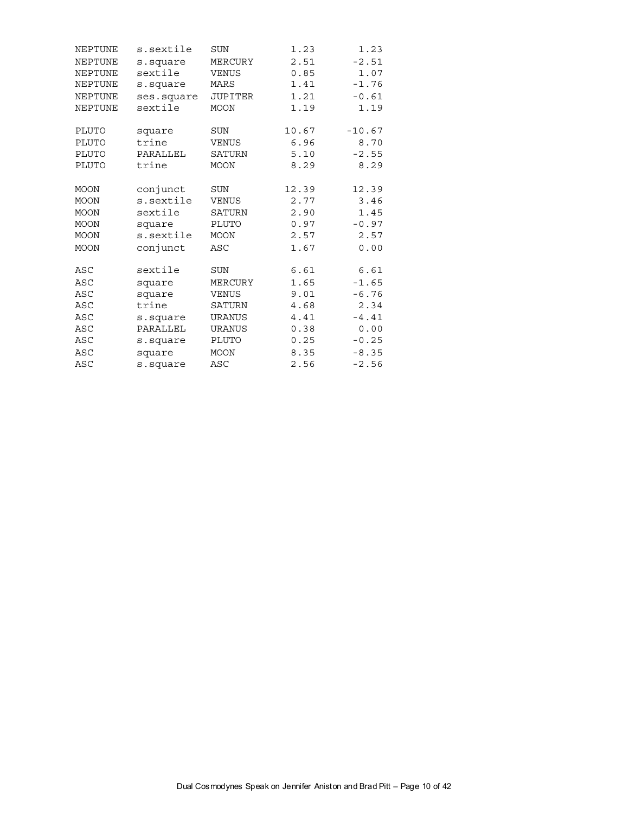| NEPTUNE        | s.sextile  | <b>SUN</b>    | 1.23  | 1.23     |
|----------------|------------|---------------|-------|----------|
| <b>NEPTUNE</b> | s.square   | MERCURY       | 2.51  | $-2.51$  |
| NEPTUNE        | sextile    | <b>VENUS</b>  | 0.85  | 1.07     |
| NEPTUNE        | s.square   | <b>MARS</b>   | 1.41  | $-1.76$  |
| NEPTUNE        | ses.square | JUPITER       | 1.21  | $-0.61$  |
| <b>NEPTUNE</b> | sextile    | <b>MOON</b>   | 1.19  | 1.19     |
| PLUTO          | square     | SUN           | 10.67 | $-10.67$ |
| PLUTO          | trine      | <b>VENUS</b>  | 6.96  | 8.70     |
| PLUTO          | PARALLEL   | <b>SATURN</b> | 5.10  | $-2.55$  |
| PLUTO          | trine      | <b>MOON</b>   | 8.29  | 8.29     |
| <b>MOON</b>    | conjunct   | <b>SUN</b>    | 12.39 | 12.39    |
| <b>MOON</b>    | s.sextile  | <b>VENUS</b>  | 2.77  | 3.46     |
| <b>MOON</b>    | sextile    | <b>SATURN</b> | 2.90  | 1.45     |
| <b>MOON</b>    | square     | PLUTO         | 0.97  | $-0.97$  |
| <b>MOON</b>    | s.sextile  | <b>MOON</b>   | 2.57  | 2.57     |
| <b>MOON</b>    | conjunct   | ASC           | 1.67  | 0.00     |
| ASC            | sextile    | SUN           | 6.61  | 6.61     |
| ASC            | square     | MERCURY       | 1.65  | $-1.65$  |
| ASC            | square     | <b>VENUS</b>  | 9.01  | $-6.76$  |
| ASC            | trine      | <b>SATURN</b> | 4.68  | 2.34     |
| ASC            | s.square   | <b>URANUS</b> | 4.41  | $-4.41$  |
| ASC            | PARALLEL   | <b>URANUS</b> | 0.38  | 0.00     |
| ASC            | s.square   | PLUTO         | 0.25  | $-0.25$  |
| ASC            | square     | MOON          | 8.35  | $-8.35$  |
| ASC            | s.square   | ASC           | 2.56  | $-2.56$  |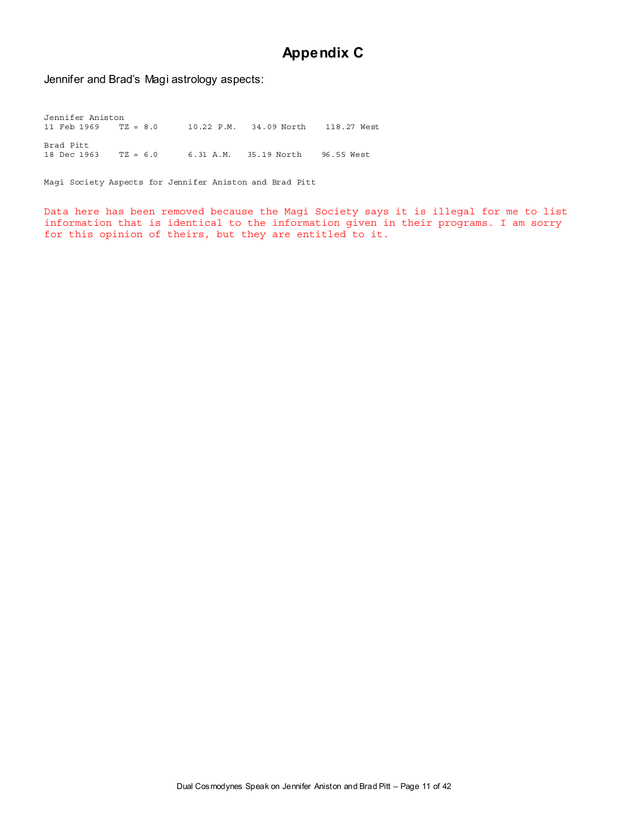# **Appendix C**

Jennifer and Brad's Magi astrology aspects:

Jennifer Aniston 11 Feb 1969 TZ = 8.0 10.22 P.M. 34.09 North 118.27 West Brad Pitt 18 Dec 1963 TZ = 6.0 6.31 A.M. 35.19 North 96.55 West

Magi Society Aspects for Jennifer Aniston and Brad Pitt

Data here has been removed because the Magi Society says it is illegal for me to list information that is identical to the information given in their programs. I am sorry for this opinion of theirs, but they are entitled to it.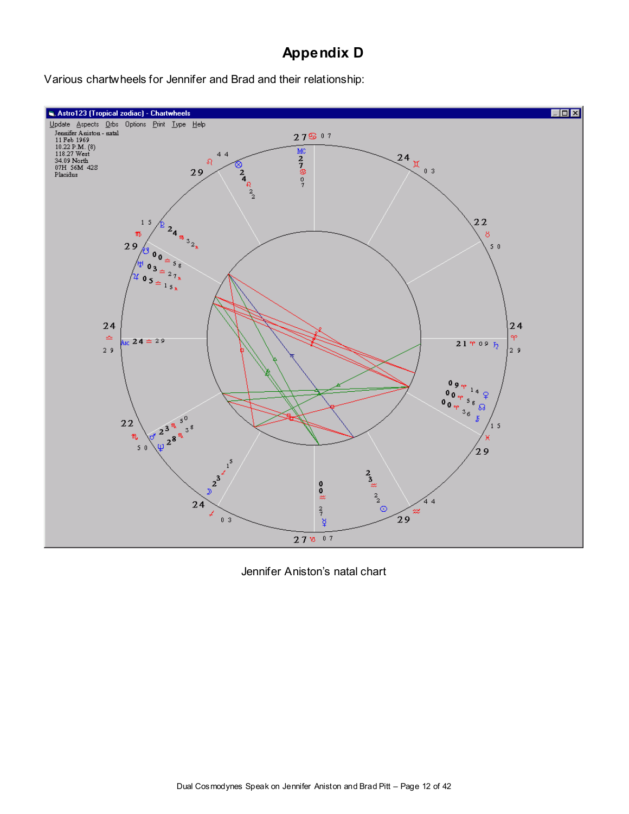# **Appendix D**

Various chartwheels for Jennifer and Brad and their relationship:



Jennifer Aniston's natal chart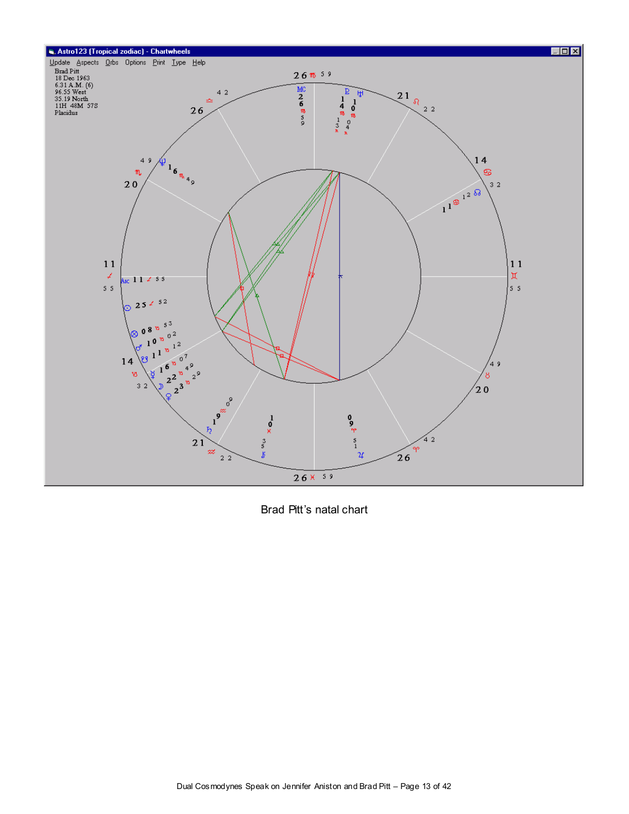

Brad Pitt's natal chart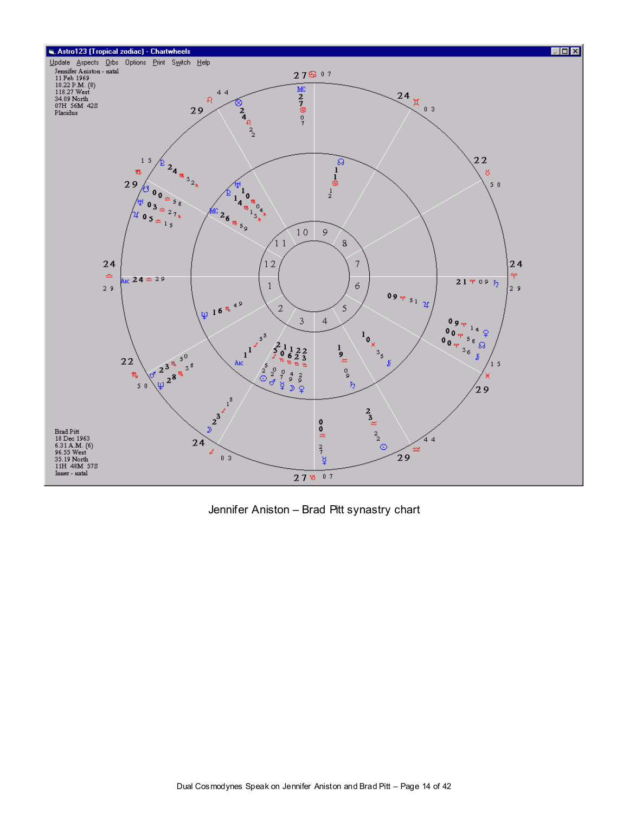

Jennifer Aniston – Brad Pitt synastry chart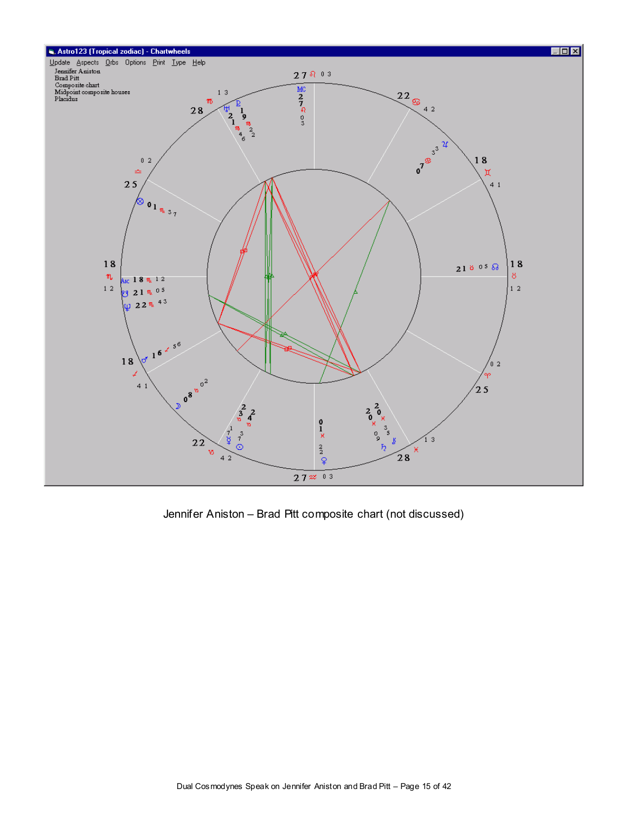

Jennifer Aniston – Brad Pitt composite chart (not discussed)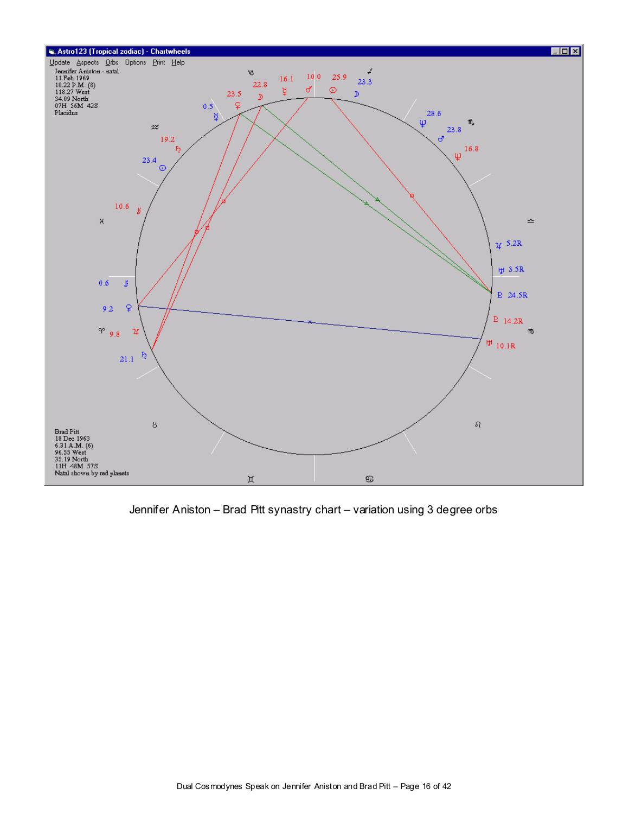

Jennifer Aniston – Brad Pitt synastry chart – variation using 3 degree orbs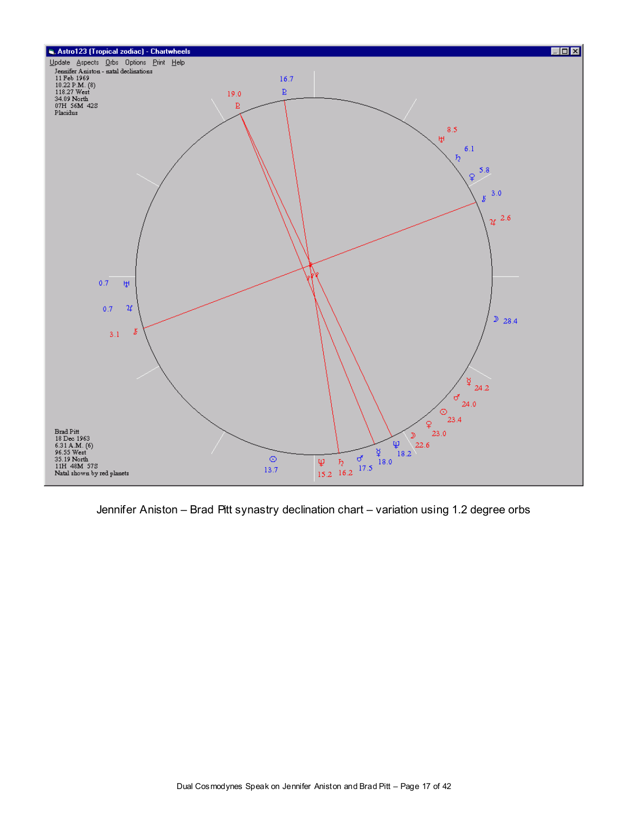

Jennifer Aniston – Brad Pitt synastry declination chart – variation using 1.2 degree orbs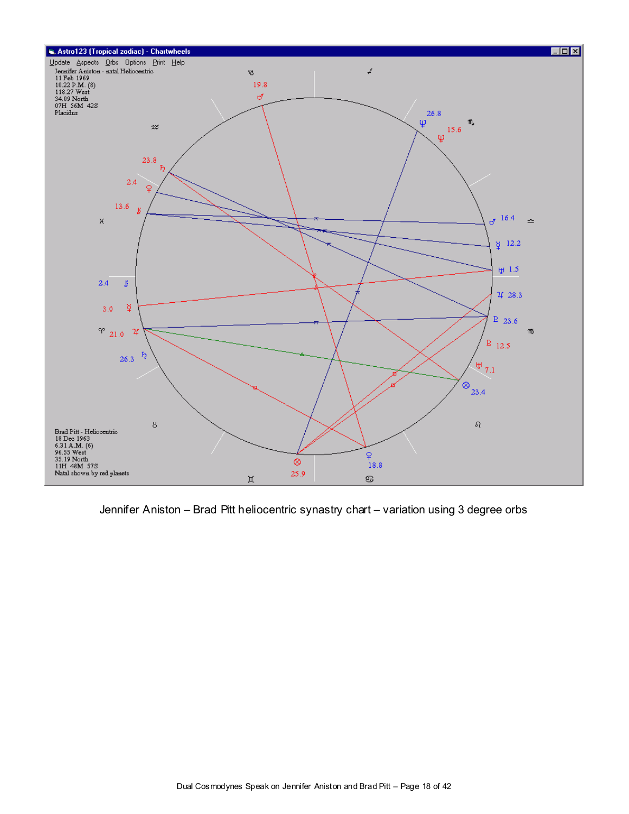

Jennifer Aniston – Brad Pitt heliocentric synastry chart – variation using 3 degree orbs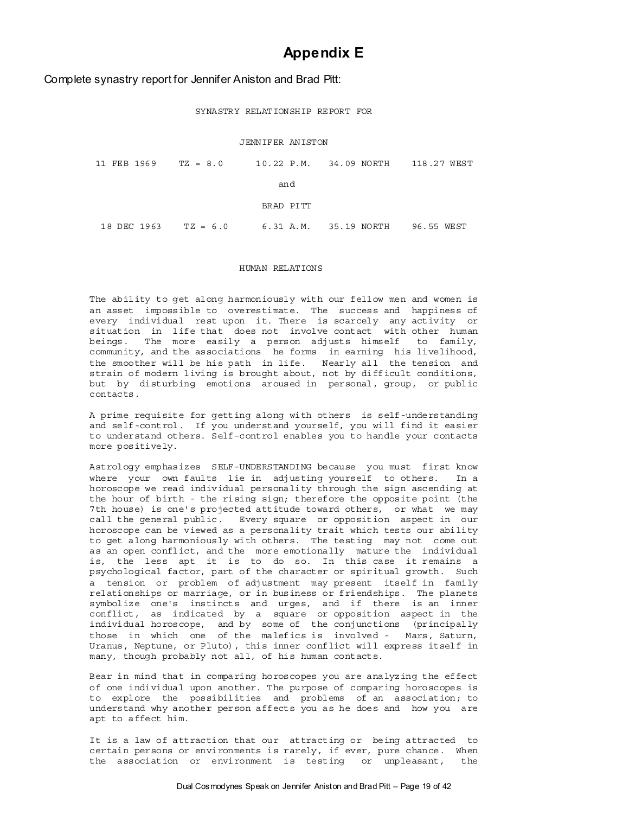## **Appendix E**

Complete synastry report for Jennifer Aniston and Brad Pitt:

SYNASTRY RELATIONSHIP REPORT FOR

JENNIFER ANISTON

|  | $11$ FEB 1969 TZ = 8.0   |           | 10.22 P.M. 34.09 NORTH 118.27 WEST |            |
|--|--------------------------|-----------|------------------------------------|------------|
|  |                          | and       |                                    |            |
|  |                          | BRAD PITT |                                    |            |
|  | $18$ DEC $1963$ TZ = 6.0 |           | 6.31 A.M. 35.19 NORTH              | 96.55 WEST |

### HUMAN RELATIONS

The ability to get along harmoniously with our fellow men and women is an asset impossible to overestimate. The success and happiness of every individual rest upon it. There is scarcely any activity or situation in life that does not involve contact with other human beings. The more easily a person adjusts himself to family, community, and the associations he forms in earning his livelihood, the smoother will be his path in life. Nearly all the tension and strain of modern living is brought about, not by difficult conditions, but by disturbing emotions aroused in personal, group, or public contacts.

A prime requisite for getting along with others is self-understanding and self-control. If you understand yourself, you will find it easier to understand others. Self-control enables you to handle your contacts more positively.

Astrology emphasizes SELF-UNDERSTANDING because you must first know where your own faults lie in adjusting yourself to others. In a horoscope we read individual personality through the sign ascending at the hour of birth - the rising sign; therefore the opposite point (the 7th house) is one's projected attitude toward others, or what we may call the general public. Every square or opposition aspect in our horoscope can be viewed as a personality trait which tests our ability to get along harmoniously with others. The testing may not come out as an open conflict, and the more emotionally mature the individual is, the less apt it is to do so. In this case it remains a psychological factor, part of the character or spiritual growth. Such a tension or problem of adjustment may present itself in family relationships or marriage, or in business or friendships. The planets symbolize one's instincts and urges, and if there is an inner conflict, as indicated by a square or opposition aspect in the individual horoscope, and by some of the conjunctions (principally those in which one of the malefics is involved - Mars, Saturn, Uranus, Neptune, or Pluto), this inner conflict will express itself in many, though probably not all, of his human contacts.

Bear in mind that in comparing horoscopes you are analyzing the effect of one individual upon another. The purpose of comparing horoscopes is to explore the possibilities and problems of an association; to understand why another person affects you as he does and how you are apt to affect him.

It is a law of attraction that our attracting or being attracted to certain persons or environments is rarely, if ever, pure chance. When the association or environment is testing or unpleasant, the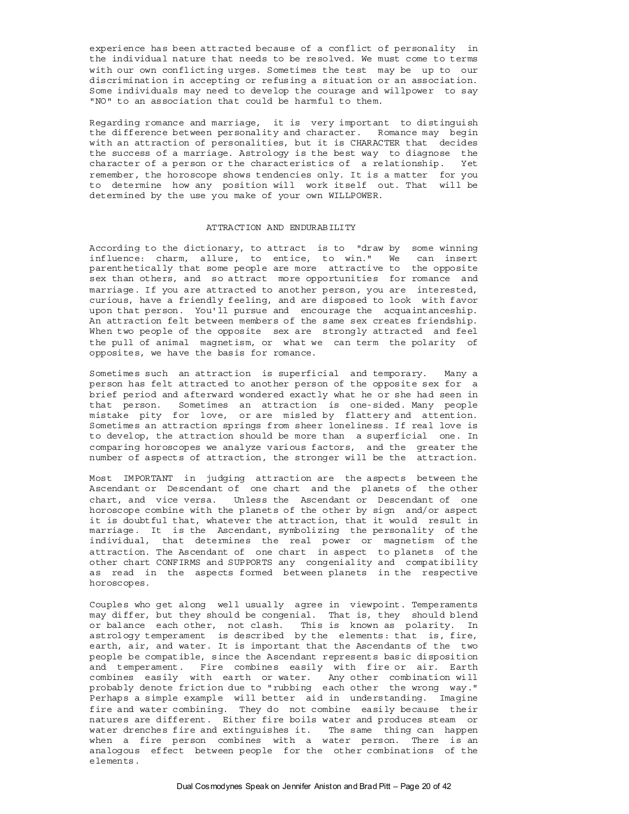experience has been attracted because of a conflict of personality in the individual nature that needs to be resolved. We must come to terms with our own conflicting urges. Sometimes the test may be up to our discrimination in accepting or refusing a situation or an association. Some individuals may need to develop the courage and willpower to say "NO" to an association that could be harmful to them.

Regarding romance and marriage, it is very important to distinguish the difference between personality and character. Romance may begin with an attraction of personalities, but it is CHARACTER that decides the success of a marriage. Astrology is the best way to diagnose the character of a person or the characteristics of a relationship. Yet remember, the horoscope shows tendencies only. It is a matter for you to determine how any position will work itself out. That will be determined by the use you make of your own WILLPOWER.

#### ATTRACTION AND ENDURABILITY

According to the dictionary, to attract is to "draw by some winning influence: charm, allure, to entice, to win." We can insert parenthetically that some people are more attractive to the opposite sex than others, and so attract more opportunities for romance and marriage. If you are attracted to another person, you are interested, curious, have a friendly feeling, and are disposed to look with favor upon that person. You'll pursue and encourage the acquaintanceship. An attraction felt between members of the same sex creates friendship. When two people of the opposite sex are strongly attracted and feel the pull of animal magnetism, or what we can term the polarity of opposites, we have the basis for romance.

Sometimes such an attraction is superficial and temporary. Many a person has felt attracted to another person of the opposite sex for a brief period and afterward wondered exactly what he or she had seen in that person. Sometimes an attraction is one-sided. Many people mistake pity for love, or are misled by flattery and attention. Sometimes an attraction springs from sheer loneliness. If real love is to develop, the attraction should be more than a superficial one. In comparing horoscopes we analyze various factors, and the greater the number of aspects of attraction, the stronger will be the attraction.

Most IMPORTANT in judging attraction are the aspects between the Ascendant or Descendant of one chart and the planets of the other chart, and vice versa. Unless the Ascendant or Descendant of one horoscope combine with the planets of the other by sign and/or aspect it is doubtful that, whatever the attraction, that it would result in marriage. It is the Ascendant, symbolizing the personality of the individual, that determines the real power or magnetism of the attraction. The Ascendant of one chart in aspect to planets of the other chart CONFIRMS and SUPPORTS any congeniality and compatibility as read in the aspects formed between planets in the respective horoscopes.

Couples who get along well usually agree in viewpoint. Temperaments may differ, but they should be congenial. That is, they should blend or balance each other, not clash. This is known as polarity. In astrology temperament is described by the elements: that is, fire, earth, air, and water. It is important that the Ascendants of the two people be compatible, since the Ascendant represents basic disposition and temperament. Fire combines easily with fire or air. Earth combines easily with earth or water. Any other combination will probably denote friction due to "rubbing each other the wrong way." Perhaps a simple example will better aid in understanding. Imagine fire and water combining. They do not combine easily because their natures are different. Either fire boils water and produces steam or water drenches fire and extinguishes it. The same thing can happen when a fire person combines with a water person. There is an analogous effect between people for the other combinations of the elements.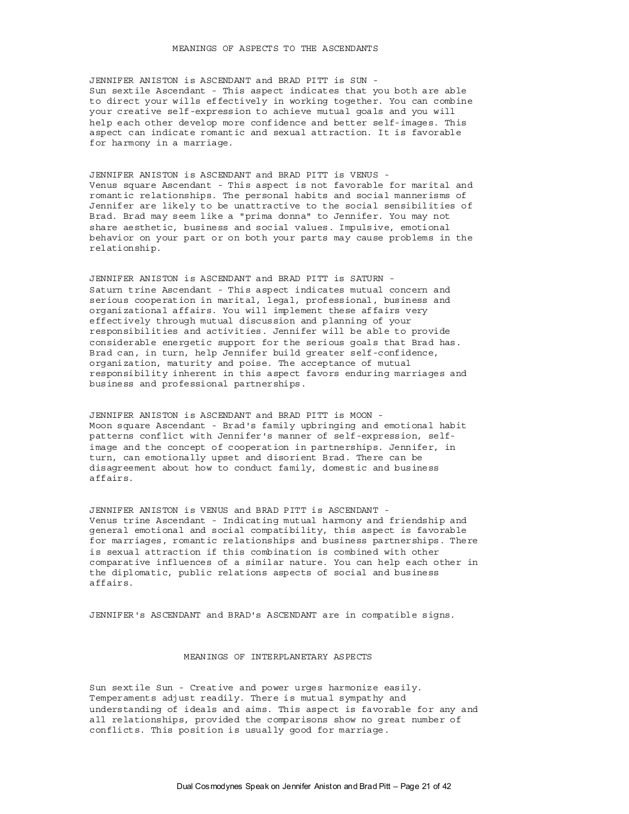JENNIFER ANISTON is ASCENDANT and BRAD PITT is SUN - Sun sextile Ascendant - This aspect indicates that you both are able to direct your wills effectively in working together. You can combine your creative self-expression to achieve mutual goals and you will help each other develop more confidence and better self-images. This aspect can indicate romantic and sexual attraction. It is favorable for harmony in a marriage.

JENNIFER ANISTON is ASCENDANT and BRAD PITT is VENUS - Venus square Ascendant - This aspect is not favorable for marital and romantic relationships. The personal habits and social mannerisms of Jennifer are likely to be unattractive to the social sensibilities of Brad. Brad may seem like a "prima donna" to Jennifer. You may not share aesthetic, business and social values. Impulsive, emotional behavior on your part or on both your parts may cause problems in the relationship.

JENNIFER ANISTON is ASCENDANT and BRAD PITT is SATURN - Saturn trine Ascendant - This aspect indicates mutual concern and serious cooperation in marital, legal, professional, business and organizational affairs. You will implement these affairs very effectively through mutual discussion and planning of your responsibilities and activities. Jennifer will be able to provide considerable energetic support for the serious goals that Brad has. Brad can, in turn, help Jennifer build greater self-confidence, organization, maturity and poise. The acceptance of mutual responsibility inherent in this aspect favors enduring marriages and business and professional partnerships.

JENNIFER ANISTON is ASCENDANT and BRAD PITT is MOON - Moon square Ascendant - Brad's family upbringing and emotional habit patterns conflict with Jennifer's manner of self-expression, selfimage and the concept of cooperation in partnerships. Jennifer, in turn, can emotionally upset and disorient Brad. There can be disagreement about how to conduct family, domestic and business affairs.

JENNIFER ANISTON is VENUS and BRAD PITT is ASCENDANT - Venus trine Ascendant - Indicating mutual harmony and friendship and general emotional and social compatibility, this aspect is favorable for marriages, romantic relationships and business partnerships. There is sexual attraction if this combination is combined with other comparative influences of a similar nature. You can help each other in the diplomatic, public relations aspects of social and business affairs.

JENNIFER's ASCENDANT and BRAD's ASCENDANT are in compatible signs.

## MEANINGS OF INTERPLANETARY ASPECTS

Sun sextile Sun - Creative and power urges harmonize easily. Temperaments adjust readily. There is mutual sympathy and understanding of ideals and aims. This aspect is favorable for any and all relationships, provided the comparisons show no great number of conflicts. This position is usually good for marriage.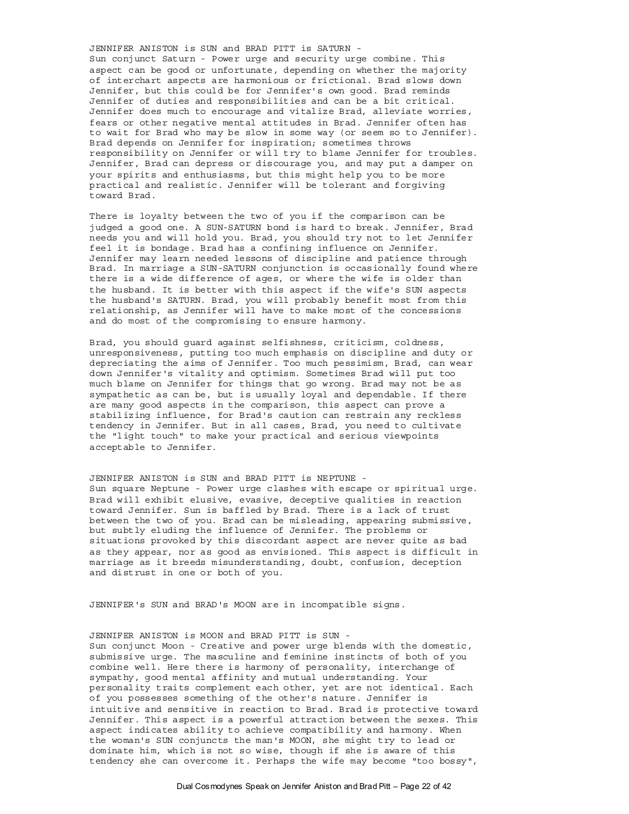JENNIFER ANISTON is SUN and BRAD PITT is SATURN - Sun conjunct Saturn - Power urge and security urge combine. This aspect can be good or unfortunate, depending on whether the majority of interchart aspects are harmonious or frictional. Brad slows down Jennifer, but this could be for Jennifer's own good. Brad reminds Jennifer of duties and responsibilities and can be a bit critical. Jennifer does much to encourage and vitalize Brad, alleviate worries, fears or other negative mental attitudes in Brad. Jennifer often has to wait for Brad who may be slow in some way (or seem so to Jennifer). Brad depends on Jennifer for inspiration; sometimes throws responsibility on Jennifer or will try to blame Jennifer for troubles. Jennifer, Brad can depress or discourage you, and may put a damper on your spirits and enthusiasms, but this might help you to be more practical and realistic. Jennifer will be tolerant and forgiving toward Brad.

There is loyalty between the two of you if the comparison can be judged a good one. A SUN-SATURN bond is hard to break. Jennifer, Brad needs you and will hold you. Brad, you should try not to let Jennifer feel it is bondage. Brad has a confining influence on Jennifer. Jennifer may learn needed lessons of discipline and patience through Brad. In marriage a SUN-SATURN conjunction is occasionally found where there is a wide difference of ages, or where the wife is older than the husband. It is better with this aspect if the wife's SUN aspects the husband's SATURN. Brad, you will probably benefit most from this relationship, as Jennifer will have to make most of the concessions and do most of the compromising to ensure harmony.

Brad, you should guard against selfishness, criticism, coldness, unresponsiveness, putting too much emphasis on discipline and duty or depreciating the aims of Jennifer. Too much pessimism, Brad, can wear down Jennifer's vitality and optimism. Sometimes Brad will put too much blame on Jennifer for things that go wrong. Brad may not be as sympathetic as can be, but is usually loyal and dependable. If there are many good aspects in the comparison, this aspect can prove a stabilizing influence, for Brad's caution can restrain any reckless tendency in Jennifer. But in all cases, Brad, you need to cultivate the "light touch" to make your practical and serious viewpoints acceptable to Jennifer.

JENNIFER ANISTON is SUN and BRAD PITT is NEPTUNE - Sun square Neptune - Power urge clashes with escape or spiritual urge. Brad will exhibit elusive, evasive, deceptive qualities in reaction toward Jennifer. Sun is baffled by Brad. There is a lack of trust between the two of you. Brad can be misleading, appearing submissive, but subtly eluding the influence of Jennifer. The problems or situations provoked by this discordant aspect are never quite as bad as they appear, nor as good as envisioned. This aspect is difficult in marriage as it breeds misunderstanding, doubt, confusion, deception and distrust in one or both of you.

JENNIFER's SUN and BRAD's MOON are in incompatible signs.

JENNIFER ANISTON is MOON and BRAD PITT is SUN - Sun conjunct Moon - Creative and power urge blends with the domestic, submissive urge. The masculine and feminine instincts of both of you combine well. Here there is harmony of personality, interchange of sympathy, good mental affinity and mutual understanding. Your personality traits complement each other, yet are not identical. Each of you possesses something of the other's nature. Jennifer is intuitive and sensitive in reaction to Brad. Brad is protective toward Jennifer. This aspect is a powerful attraction between the sexes. This aspect indicates ability to achieve compatibility and harmony. When the woman's SUN conjuncts the man's MOON, she might try to lead or dominate him, which is not so wise, though if she is aware of this tendency she can overcome it. Perhaps the wife may become "too bossy",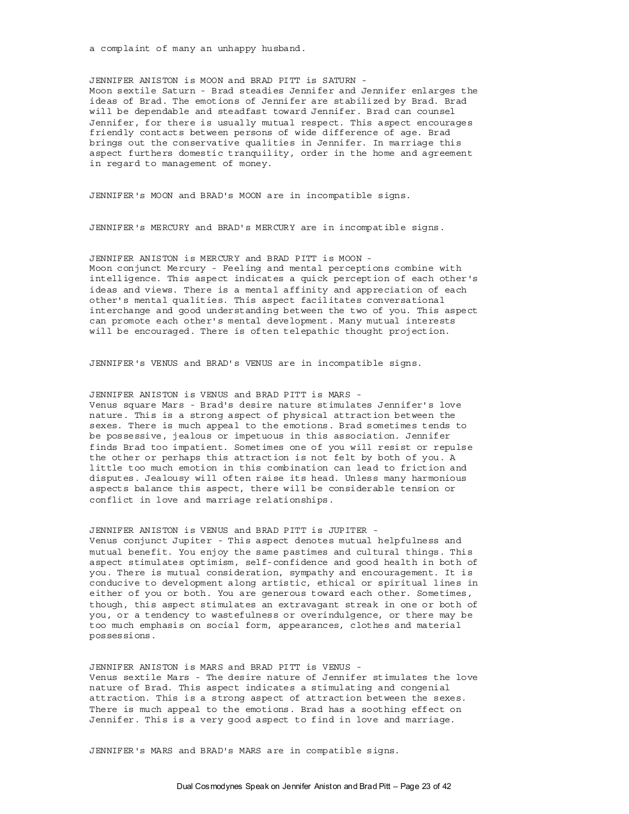a complaint of many an unhappy husband.

JENNIFER ANISTON is MOON and BRAD PITT is SATURN - Moon sextile Saturn - Brad steadies Jennifer and Jennifer enlarges the ideas of Brad. The emotions of Jennifer are stabilized by Brad. Brad will be dependable and steadfast toward Jennifer. Brad can counsel Jennifer, for there is usually mutual respect. This aspect encourages friendly contacts between persons of wide difference of age. Brad brings out the conservative qualities in Jennifer. In marriage this aspect furthers domestic tranquility, order in the home and agreement in regard to management of money.

JENNIFER's MOON and BRAD's MOON are in incompatible signs.

JENNIFER's MERCURY and BRAD's MERCURY are in incompatible signs.

JENNIFER ANISTON is MERCURY and BRAD PITT is MOON - Moon conjunct Mercury - Feeling and mental perceptions combine with intelligence. This aspect indicates a quick perception of each other's ideas and views. There is a mental affinity and appreciation of each other's mental qualities. This aspect facilitates conversational interchange and good understanding between the two of you. This aspect can promote each other's mental development. Many mutual interests will be encouraged. There is often telepathic thought projection.

JENNIFER's VENUS and BRAD's VENUS are in incompatible signs.

JENNIFER ANISTON is VENUS and BRAD PITT is MARS - Venus square Mars - Brad's desire nature stimulates Jennifer's love nature. This is a strong aspect of physical attraction between the sexes. There is much appeal to the emotions. Brad sometimes tends to be possessive, jealous or impetuous in this association. Jennifer finds Brad too impatient. Sometimes one of you will resist or repulse the other or perhaps this attraction is not felt by both of you. A little too much emotion in this combination can lead to friction and disputes. Jealousy will often raise its head. Unless many harmonious aspects balance this aspect, there will be considerable tension or conflict in love and marriage relationships.

JENNIFER ANISTON is VENUS and BRAD PITT is JUPITER - Venus conjunct Jupiter - This aspect denotes mutual helpfulness and mutual benefit. You enjoy the same pastimes and cultural things. This aspect stimulates optimism, self-confidence and good health in both of you. There is mutual consideration, sympathy and encouragement. It is conducive to development along artistic, ethical or spiritual lines in either of you or both. You are generous toward each other. Sometimes, though, this aspect stimulates an extravagant streak in one or both of you, or a tendency to wastefulness or overindulgence, or there may be too much emphasis on social form, appearances, clothes and material possessions.

JENNIFER ANISTON is MARS and BRAD PITT is VENUS - Venus sextile Mars - The desire nature of Jennifer stimulates the love nature of Brad. This aspect indicates a stimulating and congenial attraction. This is a strong aspect of attraction between the sexes. There is much appeal to the emotions. Brad has a soothing effect on Jennifer. This is a very good aspect to find in love and marriage.

JENNIFER's MARS and BRAD's MARS are in compatible signs.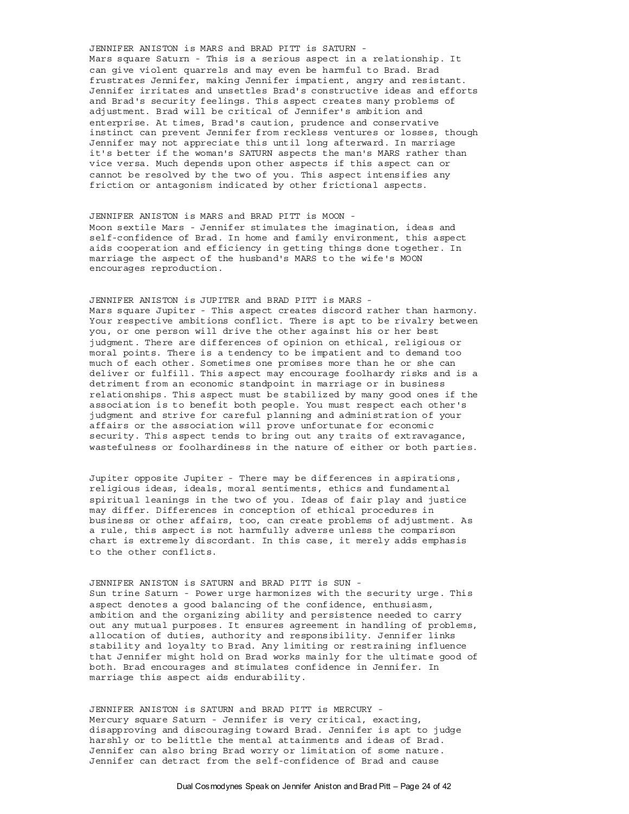JENNIFER ANISTON is MARS and BRAD PITT is SATURN - Mars square Saturn - This is a serious aspect in a relationship. It can give violent quarrels and may even be harmful to Brad. Brad frustrates Jennifer, making Jennifer impatient, angry and resistant. Jennifer irritates and unsettles Brad's constructive ideas and efforts and Brad's security feelings. This aspect creates many problems of adjustment. Brad will be critical of Jennifer's ambition and enterprise. At times, Brad's caution, prudence and conservative instinct can prevent Jennifer from reckless ventures or losses, though Jennifer may not appreciate this until long afterward. In marriage it's better if the woman's SATURN aspects the man's MARS rather than vice versa. Much depends upon other aspects if this aspect can or cannot be resolved by the two of you. This aspect intensifies any friction or antagonism indicated by other frictional aspects.

JENNIFER ANISTON is MARS and BRAD PITT is MOON - Moon sextile Mars - Jennifer stimulates the imagination, ideas and self-confidence of Brad. In home and family environment, this aspect aids cooperation and efficiency in getting things done together. In marriage the aspect of the husband's MARS to the wife's MOON encourages reproduction.

JENNIFER ANISTON is JUPITER and BRAD PITT is MARS - Mars square Jupiter - This aspect creates discord rather than harmony. Your respective ambitions conflict. There is apt to be rivalry between you, or one person will drive the other against his or her best judgment. There are differences of opinion on ethical, religious or moral points. There is a tendency to be impatient and to demand too much of each other. Sometimes one promises more than he or she can deliver or fulfill. This aspect may encourage foolhardy risks and is a detriment from an economic standpoint in marriage or in business relationships. This aspect must be stabilized by many good ones if the association is to benefit both people. You must respect each other's judgment and strive for careful planning and administration of your affairs or the association will prove unfortunate for economic security. This aspect tends to bring out any traits of extravagance, wastefulness or foolhardiness in the nature of either or both parties.

Jupiter opposite Jupiter - There may be differences in aspirations, religious ideas, ideals, moral sentiments, ethics and fundamental spiritual leanings in the two of you. Ideas of fair play and justice may differ. Differences in conception of ethical procedures in business or other affairs, too, can create problems of adjustment. As a rule, this aspect is not harmfully adverse unless the comparison chart is extremely discordant. In this case, it merely adds emphasis to the other conflicts.

JENNIFER ANISTON is SATURN and BRAD PITT is SUN - Sun trine Saturn - Power urge harmonizes with the security urge. This aspect denotes a good balancing of the confidence, enthusiasm, ambition and the organizing ability and persistence needed to carry out any mutual purposes. It ensures agreement in handling of problems, allocation of duties, authority and responsibility. Jennifer links stability and loyalty to Brad. Any limiting or restraining influence that Jennifer might hold on Brad works mainly for the ultimate good of both. Brad encourages and stimulates confidence in Jennifer. In marriage this aspect aids endurability.

JENNIFER ANISTON is SATURN and BRAD PITT is MERCURY - Mercury square Saturn - Jennifer is very critical, exacting, disapproving and discouraging toward Brad. Jennifer is apt to judge harshly or to belittle the mental attainments and ideas of Brad. Jennifer can also bring Brad worry or limitation of some nature. Jennifer can detract from the self-confidence of Brad and cause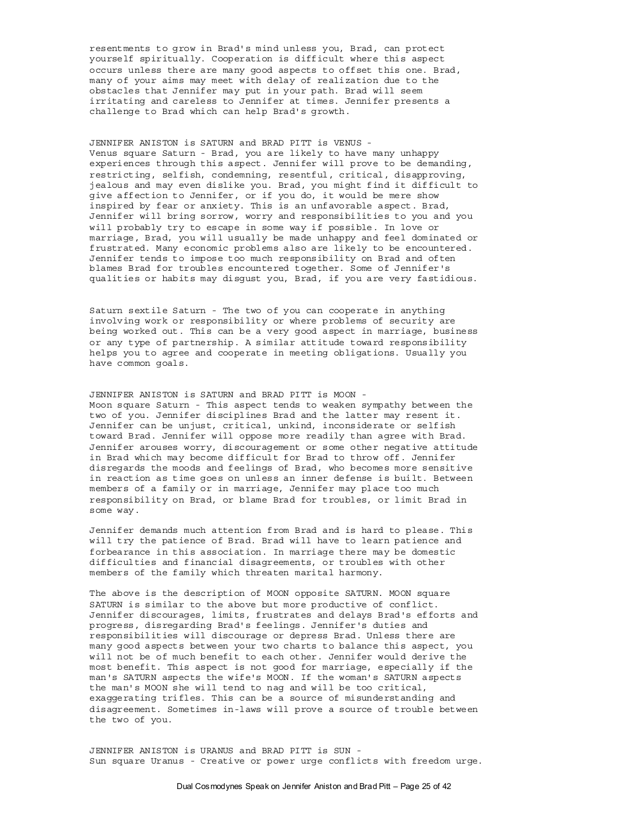resentments to grow in Brad's mind unless you, Brad, can protect yourself spiritually. Cooperation is difficult where this aspect occurs unless there are many good aspects to offset this one. Brad, many of your aims may meet with delay of realization due to the obstacles that Jennifer may put in your path. Brad will seem irritating and careless to Jennifer at times. Jennifer presents a challenge to Brad which can help Brad's growth.

JENNIFER ANISTON is SATURN and BRAD PITT is VENUS - Venus square Saturn - Brad, you are likely to have many unhappy experiences through this aspect. Jennifer will prove to be demanding, restricting, selfish, condemning, resentful, critical, disapproving, jealous and may even dislike you. Brad, you might find it difficult to give affection to Jennifer, or if you do, it would be mere show inspired by fear or anxiety. This is an unfavorable aspect. Brad, Jennifer will bring sorrow, worry and responsibilities to you and you will probably try to escape in some way if possible. In love or marriage, Brad, you will usually be made unhappy and feel dominated or frustrated. Many economic problems also are likely to be encountered. Jennifer tends to impose too much responsibility on Brad and often blames Brad for troubles encountered together. Some of Jennifer's qualities or habits may disgust you, Brad, if you are very fastidious.

Saturn sextile Saturn - The two of you can cooperate in anything involving work or responsibility or where problems of security are being worked out. This can be a very good aspect in marriage, business or any type of partnership. A similar attitude toward responsibility helps you to agree and cooperate in meeting obligations. Usually you have common goals.

JENNIFER ANISTON is SATURN and BRAD PITT is MOON - Moon square Saturn - This aspect tends to weaken sympathy between the two of you. Jennifer disciplines Brad and the latter may resent it. Jennifer can be unjust, critical, unkind, inconsiderate or selfish toward Brad. Jennifer will oppose more readily than agree with Brad. Jennifer arouses worry, discouragement or some other negative attitude in Brad which may become difficult for Brad to throw off. Jennifer disregards the moods and feelings of Brad, who becomes more sensitive in reaction as time goes on unless an inner defense is built. Between members of a family or in marriage, Jennifer may place too much responsibility on Brad, or blame Brad for troubles, or limit Brad in some way.

Jennifer demands much attention from Brad and is hard to please. This will try the patience of Brad. Brad will have to learn patience and forbearance in this association. In marriage there may be domestic difficulties and financial disagreements, or troubles with other members of the family which threaten marital harmony.

The above is the description of MOON opposite SATURN. MOON square SATURN is similar to the above but more productive of conflict. Jennifer discourages, limits, frustrates and delays Brad's efforts and progress, disregarding Brad's feelings. Jennifer's duties and responsibilities will discourage or depress Brad. Unless there are many good aspects between your two charts to balance this aspect, you will not be of much benefit to each other. Jennifer would derive the most benefit. This aspect is not good for marriage, especially if the man's SATURN aspects the wife's MOON. If the woman's SATURN aspects the man's MOON she will tend to nag and will be too critical, exaggerating trifles. This can be a source of misunderstanding and disagreement. Sometimes in-laws will prove a source of trouble between the two of you.

JENNIFER ANISTON is URANUS and BRAD PITT is SUN - Sun square Uranus - Creative or power urge conflicts with freedom urge.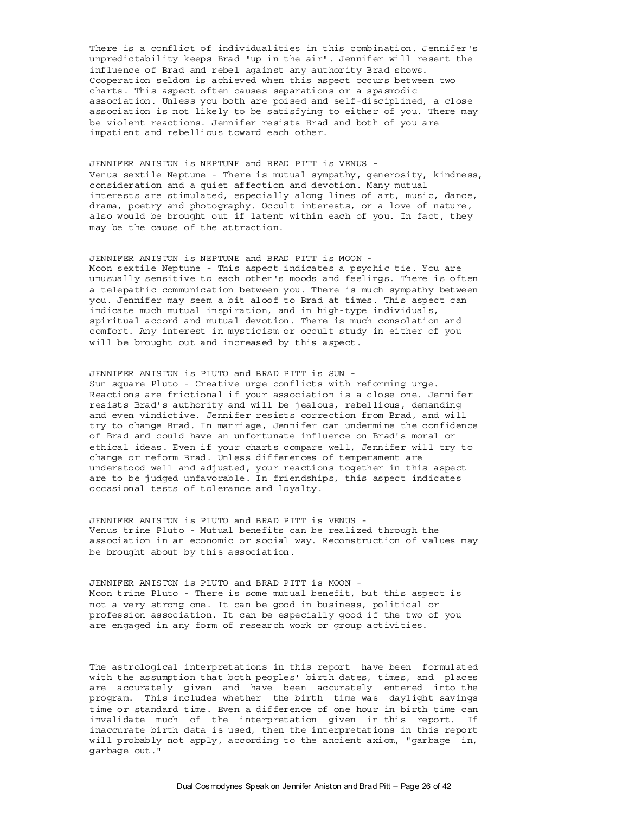There is a conflict of individualities in this combination. Jennifer's unpredictability keeps Brad "up in the air". Jennifer will resent the influence of Brad and rebel against any authority Brad shows. Cooperation seldom is achieved when this aspect occurs between two charts. This aspect often causes separations or a spasmodic association. Unless you both are poised and self-disciplined, a close association is not likely to be satisfying to either of you. There may be violent reactions. Jennifer resists Brad and both of you are impatient and rebellious toward each other.

JENNIFER ANISTON is NEPTUNE and BRAD PITT is VENUS - Venus sextile Neptune - There is mutual sympathy, generosity, kindness, consideration and a quiet affection and devotion. Many mutual interests are stimulated, especially along lines of art, music, dance, drama, poetry and photography. Occult interests, or a love of nature, also would be brought out if latent within each of you. In fact, they may be the cause of the attraction.

JENNIFER ANISTON is NEPTUNE and BRAD PITT is MOON - Moon sextile Neptune - This aspect indicates a psychic tie. You are unusually sensitive to each other's moods and feelings. There is often a telepathic communication between you. There is much sympathy between you. Jennifer may seem a bit aloof to Brad at times. This aspect can indicate much mutual inspiration, and in high-type individuals, spiritual accord and mutual devotion. There is much consolation and comfort. Any interest in mysticism or occult study in either of you will be brought out and increased by this aspect.

JENNIFER ANISTON is PLUTO and BRAD PITT is SUN - Sun square Pluto - Creative urge conflicts with reforming urge. Reactions are frictional if your association is a close one. Jennifer resists Brad's authority and will be jealous, rebellious, demanding and even vindictive. Jennifer resists correction from Brad, and will try to change Brad. In marriage, Jennifer can undermine the confidence of Brad and could have an unfortunate influence on Brad's moral or ethical ideas. Even if your charts compare well, Jennifer will try to change or reform Brad. Unless differences of temperament are understood well and adjusted, your reactions together in this aspect are to be judged unfavorable. In friendships, this aspect indicates occasional tests of tolerance and loyalty.

JENNIFER ANISTON is PLUTO and BRAD PITT is VENUS - Venus trine Pluto - Mutual benefits can be realized through the association in an economic or social way. Reconstruction of values may be brought about by this association.

JENNIFER ANISTON is PLUTO and BRAD PITT is MOON - Moon trine Pluto - There is some mutual benefit, but this aspect is not a very strong one. It can be good in business, political or profession association. It can be especially good if the two of you are engaged in any form of research work or group activities.

The astrological interpretations in this report have been formulated with the assumption that both peoples' birth dates, times, and places are accurately given and have been accurately entered into the program. This includes whether the birth time was daylight savings time or standard time. Even a difference of one hour in birth time can invalidate much of the interpretation given in this report. If inaccurate birth data is used, then the interpretations in this report will probably not apply, according to the ancient axiom, "garbage in, garbage out."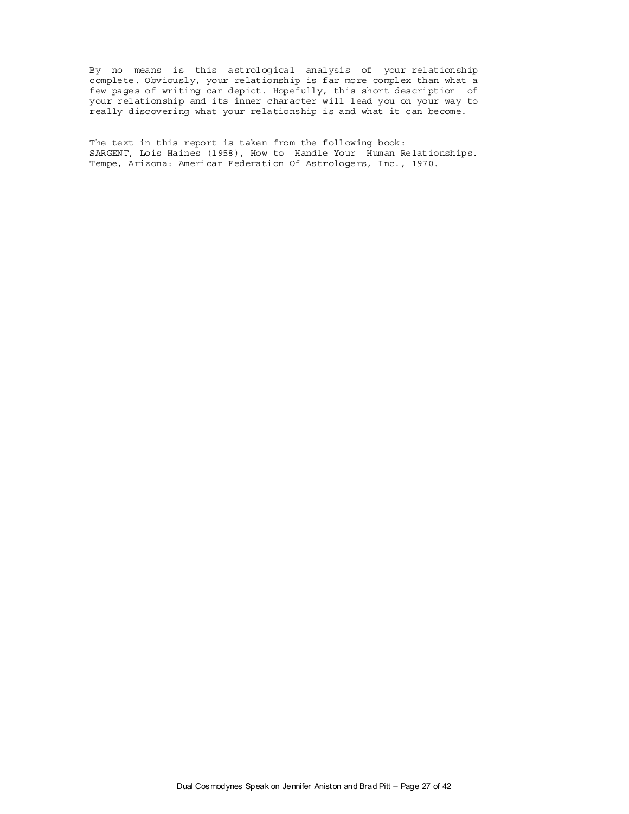By no means is this astrological analysis of your relationship complete. Obviously, your relationship is far more complex than what a few pages of writing can depict. Hopefully, this short description of your relationship and its inner character will lead you on your way to really discovering what your relationship is and what it can become.

The text in this report is taken from the following book: SARGENT, Lois Haines (1958), How to Handle Your Human Relationships. Tempe, Arizona: American Federation Of Astrologers, Inc., 1970.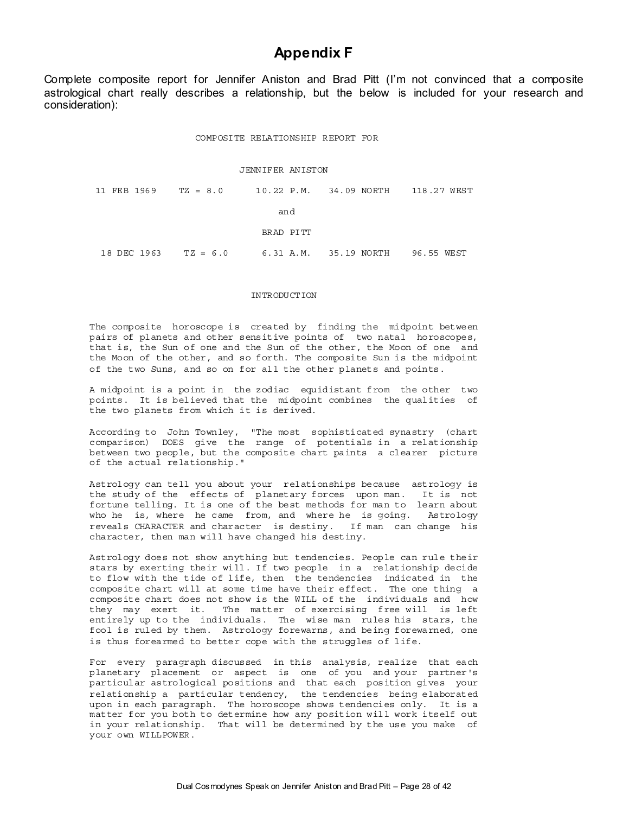## **Appendix F**

Complete composite report for Jennifer Aniston and Brad Pitt (I'm not convinced that a composite astrological chart really describes a relationship, but the below is included for your research and consideration):

### COMPOSITE RELATIONSHIP REPORT FOR

### JENNIFER ANISTON

11 FEB 1969 TZ = 8.0 10.22 P.M. 34.09 NORTH 118.27 WEST and BRAD PITT 18 DEC 1963 TZ = 6.0 6.31 A.M. 35.19 NORTH 96.55 WEST

### INTRODUCTION

The composite horoscope is created by finding the midpoint between pairs of planets and other sensitive points of two natal horoscopes, that is, the Sun of one and the Sun of the other, the Moon of one and the Moon of the other, and so forth. The composite Sun is the midpoint of the two Suns, and so on for all the other planets and points.

A midpoint is a point in the zodiac equidistant from the other two points. It is believed that the midpoint combines the qualities of the two planets from which it is derived.

According to John Townley, "The most sophisticated synastry (chart comparison) DOES give the range of potentials in a relationship between two people, but the composite chart paints a clearer picture of the actual relationship."

Astrology can tell you about your relationships because astrology is the study of the effects of planetary forces upon man. It is not fortune telling. It is one of the best methods for man to learn about who he is, where he came from, and where he is going. Astrology reveals CHARACTER and character is destiny. If man can change his character, then man will have changed his destiny.

Astrology does not show anything but tendencies. People can rule their stars by exerting their will. If two people in a relationship decide to flow with the tide of life, then the tendencies indicated in the composite chart will at some time have their effect. The one thing a composite chart does not show is the WILL of the individuals and how they may exert it. The matter of exercising free will is left entirely up to the individuals. The wise man rules his stars, the fool is ruled by them. Astrology forewarns, and being forewarned, one is thus forearmed to better cope with the struggles of life.

For every paragraph discussed in this analysis, realize that each planetary placement or aspect is one of you and your partner's particular astrological positions and that each position gives your relationship a particular tendency, the tendencies being elaborated upon in each paragraph. The horoscope shows tendencies only. It is a matter for you both to determine how any position will work itself out in your relationship. That will be determined by the use you make of your own WILLPOWER.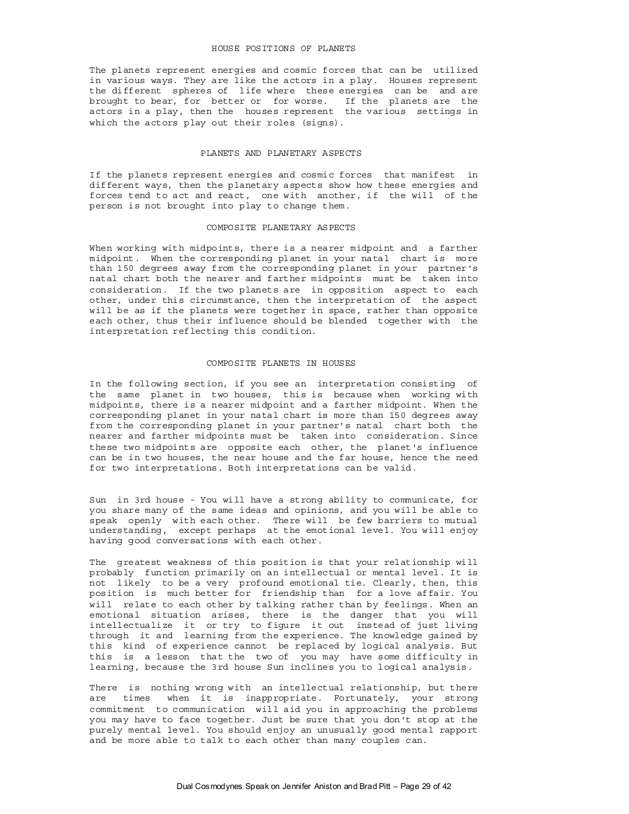### HOUSE POSITIONS OF PLANETS

The planets represent energies and cosmic forces that can be utilized in various ways. They are like the actors in a play. Houses represent the different spheres of life where these energies can be and are brought to bear, for better or for worse. If the planets are the actors in a play, then the houses represent the various settings in which the actors play out their roles (signs).

#### PLANETS AND PLANETARY ASPECTS

If the planets represent energies and cosmic forces that manifest in different ways, then the planetary aspects show how these energies and forces tend to act and react, one with another, if the will of the person is not brought into play to change them.

#### COMPOSITE PLANETARY ASPECTS

When working with midpoints, there is a nearer midpoint and a farther midpoint. When the corresponding planet in your natal chart is more than 150 degrees away from the corresponding planet in your partner's natal chart both the nearer and farther midpoints must be taken into consideration. If the two planets are in opposition aspect to each other, under this circumstance, then the interpretation of the aspect will be as if the planets were together in space, rather than opposite each other, thus their influence should be blended together with the interpretation reflecting this condition.

#### COMPOSITE PLANETS IN HOUSES

In the following section, if you see an interpretation consisting of the same planet in two houses, this is because when working with midpoints, there is a nearer midpoint and a farther midpoint. When the corresponding planet in your natal chart is more than 150 degrees away from the corresponding planet in your partner's natal chart both the nearer and farther midpoints must be taken into consideration. Since these two midpoints are opposite each other, the planet's influence can be in two houses, the near house and the far house, hence the need for two interpretations. Both interpretations can be valid.

Sun in 3rd house - You will have a strong ability to communicate, for you share many of the same ideas and opinions, and you will be able to speak openly with each other. There will be few barriers to mutual understanding, except perhaps at the emotional level. You will enjoy having good conversations with each other.

The greatest weakness of this position is that your relationship will probably function primarily on an intellectual or mental level. It is not likely to be a very profound emotional tie. Clearly, then, this position is much better for friendship than for a love affair. You will relate to each other by talking rather than by feelings. When an emotional situation arises, there is the danger that you will intellectualize it or try to figure it out instead of just living through it and learning from the experience. The knowledge gained by this kind of experience cannot be replaced by logical analysis. But this is a lesson that the two of you may have some difficulty in learning, because the 3rd house Sun inclines you to logical analysis.

There is nothing wrong with an intellectual relationship, but there are times when it is inappropriate. Fortunately, your strong commitment to communication will aid you in approaching the problems you may have to face together. Just be sure that you don't stop at the purely mental level. You should enjoy an unusually good mental rapport and be more able to talk to each other than many couples can.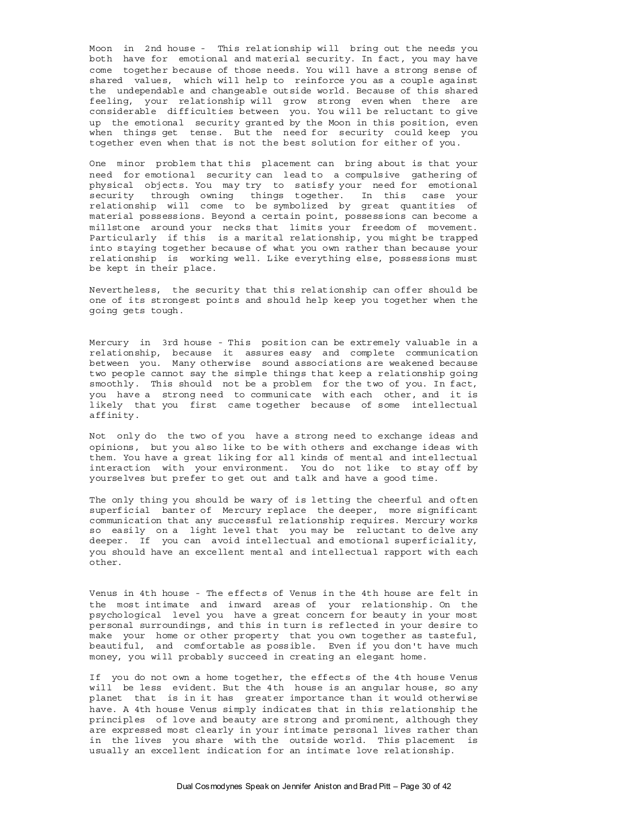Moon in 2nd house - This relationship will bring out the needs you both have for emotional and material security. In fact, you may have come together because of those needs. You will have a strong sense of shared values, which will help to reinforce you as a couple against the undependable and changeable outside world. Because of this shared feeling, your relationship will grow strong even when there are considerable difficulties between you. You will be reluctant to give up the emotional security granted by the Moon in this position, even when things get tense. But the need for security could keep you together even when that is not the best solution for either of you.

One minor problem that this placement can bring about is that your need for emotional security can lead to a compulsive gathering of physical objects. You may try to satisfy your need for emotional security through owning things together. In this case your relationship will come to be symbolized by great quantities of material possessions. Beyond a certain point, possessions can become a millstone around your necks that limits your freedom of movement. Particularly if this is a marital relationship, you might be trapped into staying together because of what you own rather than because your relationship is working well. Like everything else, possessions must be kept in their place.

Nevertheless, the security that this relationship can offer should be one of its strongest points and should help keep you together when the going gets tough.

Mercury in 3rd house - This position can be extremely valuable in a relationship, because it assures easy and complete communication between you. Many otherwise sound associations are weakened because two people cannot say the simple things that keep a relationship going smoothly. This should not be a problem for the two of you. In fact, you have a strong need to communicate with each other, and it is likely that you first came together because of some intellectual affinity.

Not only do the two of you have a strong need to exchange ideas and opinions, but you also like to be with others and exchange ideas with them. You have a great liking for all kinds of mental and intellectual interaction with your environment. You do not like to stay off by yourselves but prefer to get out and talk and have a good time.

The only thing you should be wary of is letting the cheerful and often superficial banter of Mercury replace the deeper, more significant communication that any successful relationship requires. Mercury works so easily on a light level that you may be reluctant to delve any deeper. If you can avoid intellectual and emotional superficiality, you should have an excellent mental and intellectual rapport with each other.

Venus in 4th house - The effects of Venus in the 4th house are felt in the most intimate and inward areas of your relationship. On the psychological level you have a great concern for beauty in your most personal surroundings, and this in turn is reflected in your desire to make your home or other property that you own together as tasteful, beautiful, and comfortable as possible. Even if you don't have much money, you will probably succeed in creating an elegant home.

If you do not own a home together, the effects of the 4th house Venus will be less evident. But the 4th house is an angular house, so any planet that is in it has greater importance than it would otherwise have. A 4th house Venus simply indicates that in this relationship the principles of love and beauty are strong and prominent, although they are expressed most clearly in your intimate personal lives rather than in the lives you share with the outside world. This placement is usually an excellent indication for an intimate love relationship.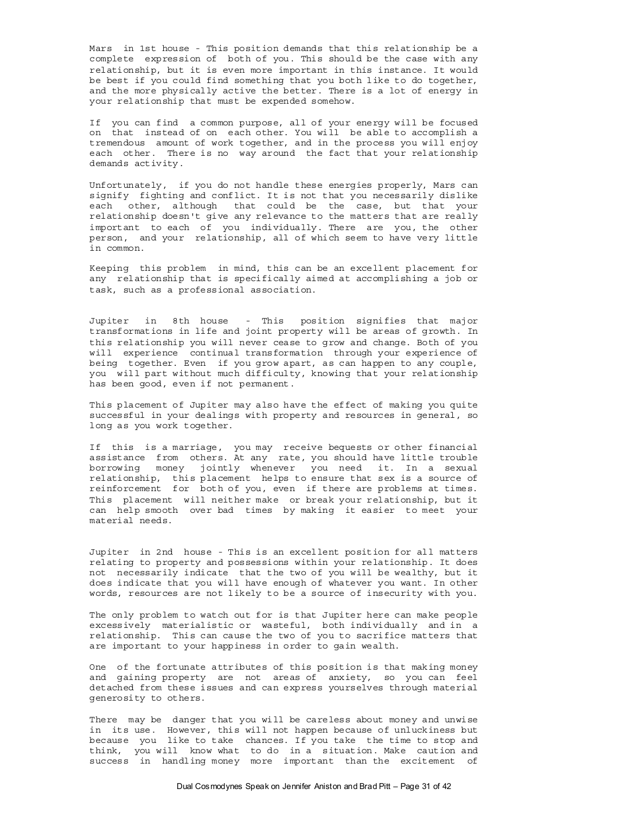Mars in 1st house - This position demands that this relationship be a complete expression of both of you. This should be the case with any relationship, but it is even more important in this instance. It would be best if you could find something that you both like to do together, and the more physically active the better. There is a lot of energy in your relationship that must be expended somehow.

If you can find a common purpose, all of your energy will be focused on that instead of on each other. You will be able to accomplish a tremendous amount of work together, and in the process you will enjoy each other. There is no way around the fact that your relationship demands activity.

Unfortunately, if you do not handle these energies properly, Mars can signify fighting and conflict. It is not that you necessarily dislike each other, although that could be the case, but that your relationship doesn't give any relevance to the matters that are really important to each of you individually. There are you, the other person, and your relationship, all of which seem to have very little in common.

Keeping this problem in mind, this can be an excellent placement for any relationship that is specifically aimed at accomplishing a job or task, such as a professional association.

Jupiter in 8th house - This position signifies that major transformations in life and joint property will be areas of growth. In this relationship you will never cease to grow and change. Both of you will experience continual transformation through your experience of being together. Even if you grow apart, as can happen to any couple, you will part without much difficulty, knowing that your relationship has been good, even if not permanent.

This placement of Jupiter may also have the effect of making you quite successful in your dealings with property and resources in general, so long as you work together.

If this is a marriage, you may receive bequests or other financial assistance from others. At any rate, you should have little trouble borrowing money jointly whenever you need it. In a sexual relationship, this placement helps to ensure that sex is a source of reinforcement for both of you, even if there are problems at times. This placement will neither make or break your relationship, but it can help smooth over bad times by making it easier to meet your material needs.

Jupiter in 2nd house - This is an excellent position for all matters relating to property and possessions within your relationship. It does not necessarily indicate that the two of you will be wealthy, but it does indicate that you will have enough of whatever you want. In other words, resources are not likely to be a source of insecurity with you.

The only problem to watch out for is that Jupiter here can make people excessively materialistic or wasteful, both individually and in a relationship. This can cause the two of you to sacrifice matters that are important to your happiness in order to gain wealth.

One of the fortunate attributes of this position is that making money and gaining property are not areas of anxiety, so you can feel detached from these issues and can express yourselves through material generosity to others.

There may be danger that you will be careless about money and unwise in its use. However, this will not happen because of unluckiness but because you like to take chances. If you take the time to stop and think, you will know what to do in a situation. Make caution and success in handling money more important than the excitement of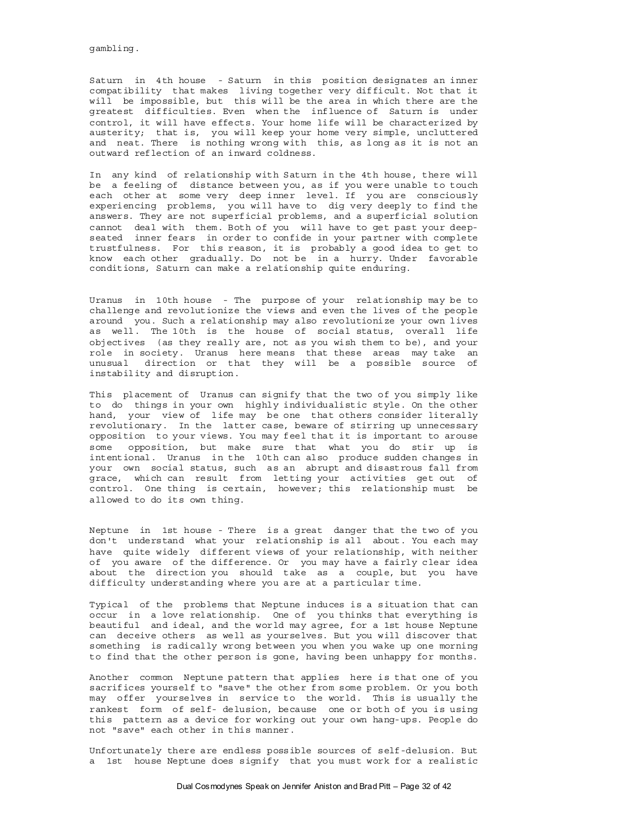Saturn in 4th house - Saturn in this position designates an inner compatibility that makes living together very difficult. Not that it will be impossible, but this will be the area in which there are the greatest difficulties. Even when the influence of Saturn is under control, it will have effects. Your home life will be characterized by austerity; that is, you will keep your home very simple, uncluttered and neat. There is nothing wrong with this, as long as it is not an outward reflection of an inward coldness.

In any kind of relationship with Saturn in the 4th house, there will be a feeling of distance between you, as if you were unable to touch each other at some very deep inner level. If you are consciously experiencing problems, you will have to dig very deeply to find the answers. They are not superficial problems, and a superficial solution cannot deal with them. Both of you will have to get past your deepseated inner fears in order to confide in your partner with complete trustfulness. For this reason, it is probably a good idea to get to know each other gradually. Do not be in a hurry. Under favorable conditions, Saturn can make a relationship quite enduring.

Uranus in 10th house - The purpose of your relationship may be to challenge and revolutionize the views and even the lives of the people around you. Such a relationship may also revolutionize your own lives as well. The 10th is the house of social status, overall life objectives (as they really are, not as you wish them to be), and your role in society. Uranus here means that these areas may take an unusual direction or that they will be a possible source of instability and disruption.

This placement of Uranus can signify that the two of you simply like to do things in your own highly individualistic style. On the other hand, your view of life may be one that others consider literally revolutionary. In the latter case, beware of stirring up unnecessary opposition to your views. You may feel that it is important to arouse some opposition, but make sure that what you do stir up is intentional. Uranus in the 10th can also produce sudden changes in your own social status, such as an abrupt and disastrous fall from grace, which can result from letting your activities get out of control. One thing is certain, however; this relationship must be allowed to do its own thing.

Neptune in 1st house - There is a great danger that the two of you don't understand what your relationship is all about. You each may have quite widely different views of your relationship, with neither of you aware of the difference. Or you may have a fairly clear idea about the direction you should take as a couple, but you have difficulty understanding where you are at a particular time.

Typical of the problems that Neptune induces is a situation that can occur in a love relationship. One of you thinks that everything is beautiful and ideal, and the world may agree, for a 1st house Neptune can deceive others as well as yourselves. But you will discover that something is radically wrong between you when you wake up one morning to find that the other person is gone, having been unhappy for months.

Another common Neptune pattern that applies here is that one of you sacrifices yourself to "save" the other from some problem. Or you both may offer yourselves in service to the world. This is usually the rankest form of self- delusion, because one or both of you is using this pattern as a device for working out your own hang-ups. People do not "save" each other in this manner.

Unfortunately there are endless possible sources of self-delusion. But a 1st house Neptune does signify that you must work for a realistic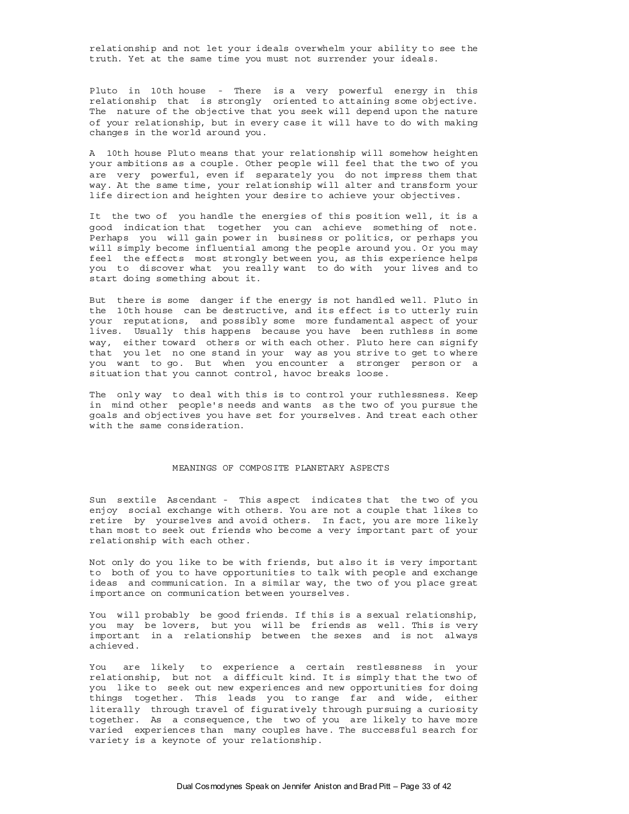relationship and not let your ideals overwhelm your ability to see the truth. Yet at the same time you must not surrender your ideals.

Pluto in 10th house - There is a very powerful energy in this relationship that is strongly oriented to attaining some objective. The nature of the objective that you seek will depend upon the nature of your relationship, but in every case it will have to do with making changes in the world around you.

A 10th house Pluto means that your relationship will somehow heighten your ambitions as a couple. Other people will feel that the two of you are very powerful, even if separately you do not impress them that way. At the same time, your relationship will alter and transform your life direction and heighten your desire to achieve your objectives.

It the two of you handle the energies of this position well, it is a good indication that together you can achieve something of note. Perhaps you will gain power in business or politics, or perhaps you will simply become influential among the people around you. Or you may feel the effects most strongly between you, as this experience helps you to discover what you really want to do with your lives and to start doing something about it.

But there is some danger if the energy is not handled well. Pluto in the 10th house can be destructive, and its effect is to utterly ruin your reputations, and possibly some more fundamental aspect of your lives. Usually this happens because you have been ruthless in some way, either toward others or with each other. Pluto here can signify that you let no one stand in your way as you strive to get to where you want to go. But when you encounter a stronger person or a situation that you cannot control, havoc breaks loose.

The only way to deal with this is to control your ruthlessness. Keep in mind other people's needs and wants as the two of you pursue the goals and objectives you have set for yourselves. And treat each other with the same consideration.

### MEANINGS OF COMPOSITE PLANETARY ASPECTS

Sun sextile Ascendant - This aspect indicates that the two of you enjoy social exchange with others. You are not a couple that likes to retire by yourselves and avoid others. In fact, you are more likely than most to seek out friends who become a very important part of your relationship with each other.

Not only do you like to be with friends, but also it is very important to both of you to have opportunities to talk with people and exchange ideas and communication. In a similar way, the two of you place great importance on communication between yourselves.

You will probably be good friends. If this is a sexual relationship, you may be lovers, but you will be friends as well. This is very important in a relationship between the sexes and is not always achieved.

You are likely to experience a certain restlessness in your relationship, but not a difficult kind. It is simply that the two of you like to seek out new experiences and new opportunities for doing things together. This leads you to range far and wide, either literally through travel of figuratively through pursuing a curiosity together. As a consequence, the two of you are likely to have more varied experiences than many couples have. The successful search for variety is a keynote of your relationship.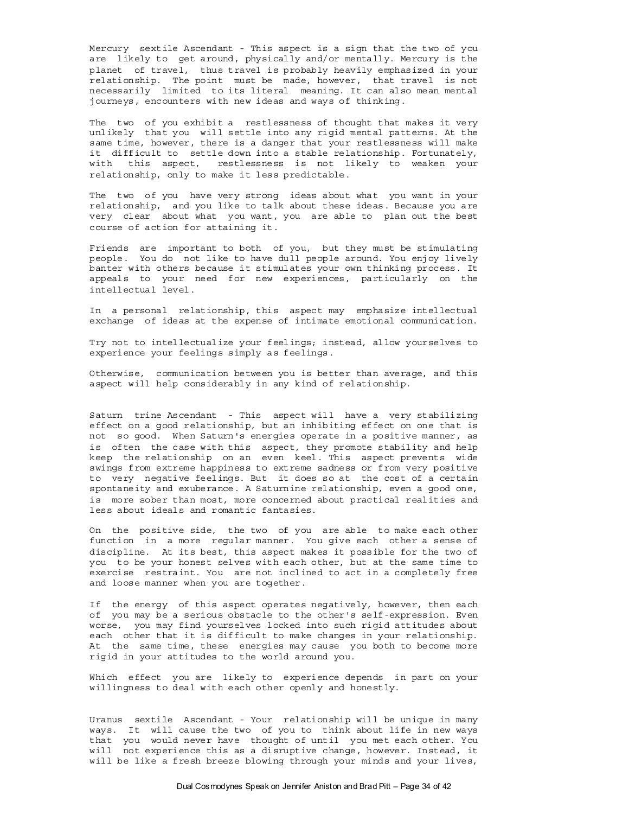Mercury sextile Ascendant - This aspect is a sign that the two of you are likely to get around, physically and/or mentally. Mercury is the planet of travel, thus travel is probably heavily emphasized in your relationship. The point must be made, however, that travel is not necessarily limited to its literal meaning. It can also mean mental journeys, encounters with new ideas and ways of thinking.

The two of you exhibit a restlessness of thought that makes it very unlikely that you will settle into any rigid mental patterns. At the same time, however, there is a danger that your restlessness will make it difficult to settle down into a stable relationship. Fortunately, with this aspect, restlessness is not likely to weaken your relationship, only to make it less predictable.

The two of you have very strong ideas about what you want in your relationship, and you like to talk about these ideas. Because you are very clear about what you want, you are able to plan out the best course of action for attaining it.

Friends are important to both of you, but they must be stimulating people. You do not like to have dull people around. You enjoy lively banter with others because it stimulates your own thinking process. It appeals to your need for new experiences, particularly on the intellectual level.

In a personal relationship, this aspect may emphasize intellectual exchange of ideas at the expense of intimate emotional communication.

Try not to intellectualize your feelings; instead, allow yourselves to experience your feelings simply as feelings.

Otherwise, communication between you is better than average, and this aspect will help considerably in any kind of relationship.

Saturn trine Ascendant - This aspect will have a very stabilizing effect on a good relationship, but an inhibiting effect on one that is not so good. When Saturn's energies operate in a positive manner, as is often the case with this aspect, they promote stability and help keep the relationship on an even keel. This aspect prevents wide swings from extreme happiness to extreme sadness or from very positive to very negative feelings. But it does so at the cost of a certain spontaneity and exuberance. A Saturnine relationship, even a good one, is more sober than most, more concerned about practical realities and less about ideals and romantic fantasies.

On the positive side, the two of you are able to make each other function in a more regular manner. You give each other a sense of discipline. At its best, this aspect makes it possible for the two of you to be your honest selves with each other, but at the same time to exercise restraint. You are not inclined to act in a completely free and loose manner when you are together.

If the energy of this aspect operates negatively, however, then each of you may be a serious obstacle to the other's self-expression. Even worse, you may find yourselves locked into such rigid attitudes about each other that it is difficult to make changes in your relationship. At the same time, these energies may cause you both to become more rigid in your attitudes to the world around you.

Which effect you are likely to experience depends in part on your willingness to deal with each other openly and honestly.

Uranus sextile Ascendant - Your relationship will be unique in many ways. It will cause the two of you to think about life in new ways that you would never have thought of until you met each other. You will not experience this as a disruptive change, however. Instead, it will be like a fresh breeze blowing through your minds and your lives,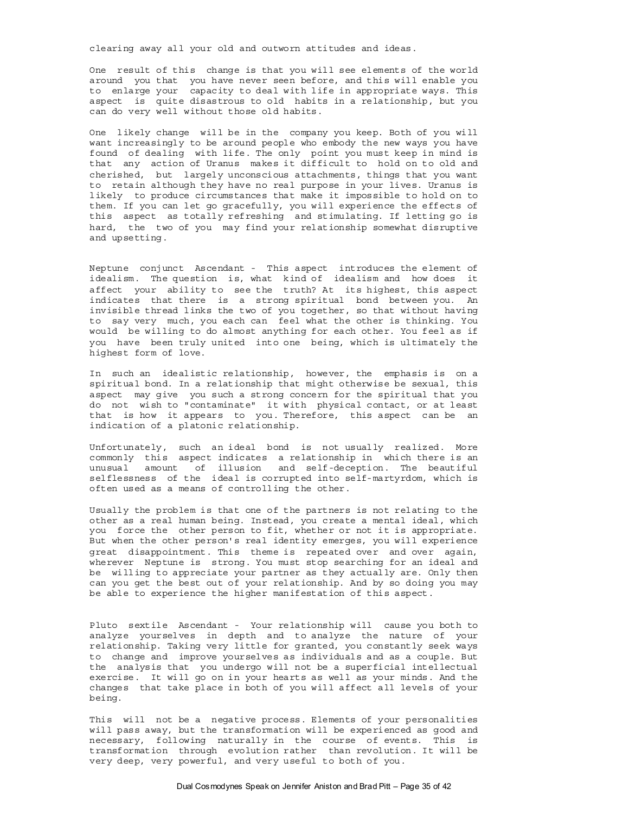clearing away all your old and outworn attitudes and ideas.

One result of this change is that you will see elements of the world around you that you have never seen before, and this will enable you to enlarge your capacity to deal with life in appropriate ways. This aspect is quite disastrous to old habits in a relationship, but you can do very well without those old habits.

One likely change will be in the company you keep. Both of you will want increasingly to be around people who embody the new ways you have found of dealing with life. The only point you must keep in mind is that any action of Uranus makes it difficult to hold on to old and cherished, but largely unconscious attachments, things that you want to retain although they have no real purpose in your lives. Uranus is likely to produce circumstances that make it impossible to hold on to them. If you can let go gracefully, you will experience the effects of this aspect as totally refreshing and stimulating. If letting go is hard, the two of you may find your relationship somewhat disruptive and upsetting.

Neptune conjunct Ascendant - This aspect introduces the element of idealism. The question is, what kind of idealism and how does it affect your ability to see the truth? At its highest, this aspect indicates that there is a strong spiritual bond between you. An invisible thread links the two of you together, so that without having to say very much, you each can feel what the other is thinking. You would be willing to do almost anything for each other. You feel as if you have been truly united into one being, which is ultimately the highest form of love.

In such an idealistic relationship, however, the emphasis is on a spiritual bond. In a relationship that might otherwise be sexual, this aspect may give you such a strong concern for the spiritual that you do not wish to "contaminate" it with physical contact, or at least that is how it appears to you. Therefore, this aspect can be an indication of a platonic relationship.

Unfortunately, such an ideal bond is not usually realized. More commonly this aspect indicates a relationship in which there is an unusual amount of illusion and self-deception. The beautiful selflessness of the ideal is corrupted into self-martyrdom, which is often used as a means of controlling the other.

Usually the problem is that one of the partners is not relating to the other as a real human being. Instead, you create a mental ideal, which you force the other person to fit, whether or not it is appropriate. But when the other person's real identity emerges, you will experience great disappointment. This theme is repeated over and over again, wherever Neptune is strong. You must stop searching for an ideal and be willing to appreciate your partner as they actually are. Only then can you get the best out of your relationship. And by so doing you may be able to experience the higher manifestation of this aspect.

Pluto sextile Ascendant - Your relationship will cause you both to analyze yourselves in depth and to analyze the nature of your relationship. Taking very little for granted, you constantly seek ways to change and improve yourselves as individuals and as a couple. But the analysis that you undergo will not be a superficial intellectual exercise. It will go on in your hearts as well as your minds. And the changes that take place in both of you will affect all levels of your being.

This will not be a negative process. Elements of your personalities will pass away, but the transformation will be experienced as good and necessary, following naturally in the course of events. This is transformation through evolution rather than revolution. It will be very deep, very powerful, and very useful to both of you.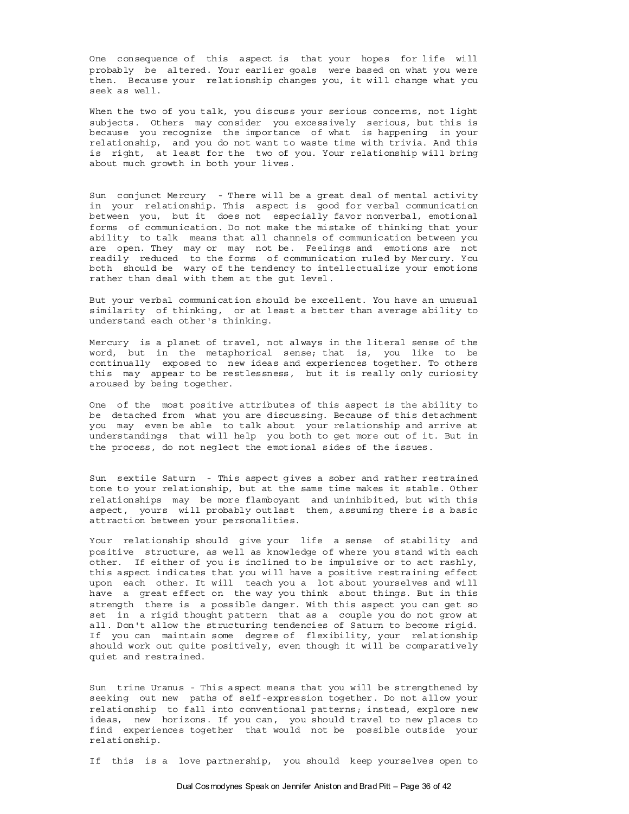One consequence of this aspect is that your hopes for life will probably be altered. Your earlier goals were based on what you were then. Because your relationship changes you, it will change what you seek as well.

When the two of you talk, you discuss your serious concerns, not light subjects. Others may consider you excessively serious, but this is because you recognize the importance of what is happening in your relationship, and you do not want to waste time with trivia. And this is right, at least for the two of you. Your relationship will bring about much growth in both your lives.

Sun conjunct Mercury - There will be a great deal of mental activity in your relationship. This aspect is good for verbal communication between you, but it does not especially favor nonverbal, emotional forms of communication. Do not make the mistake of thinking that your ability to talk means that all channels of communication between you are open. They may or may not be. Feelings and emotions are not readily reduced to the forms of communication ruled by Mercury. You both should be wary of the tendency to intellectualize your emotions rather than deal with them at the gut level.

But your verbal communication should be excellent. You have an unusual similarity of thinking, or at least a better than average ability to understand each other's thinking.

Mercury is a planet of travel, not always in the literal sense of the word, but in the metaphorical sense; that is, you like to be continually exposed to new ideas and experiences together. To others this may appear to be restlessness, but it is really only curiosity aroused by being together.

One of the most positive attributes of this aspect is the ability to be detached from what you are discussing. Because of this detachment you may even be able to talk about your relationship and arrive at understandings that will help you both to get more out of it. But in the process, do not neglect the emotional sides of the issues.

Sun sextile Saturn - This aspect gives a sober and rather restrained tone to your relationship, but at the same time makes it stable. Other relationships may be more flamboyant and uninhibited, but with this aspect, yours will probably outlast them, assuming there is a basic attraction between your personalities.

Your relationship should give your life a sense of stability and positive structure, as well as knowledge of where you stand with each other. If either of you is inclined to be impulsive or to act rashly, this aspect indicates that you will have a positive restraining effect upon each other. It will teach you a lot about yourselves and will have a great effect on the way you think about things. But in this strength there is a possible danger. With this aspect you can get so set in a rigid thought pattern that as a couple you do not grow at all. Don't allow the structuring tendencies of Saturn to become rigid. If you can maintain some degree of flexibility, your relationship should work out quite positively, even though it will be comparatively quiet and restrained.

Sun trine Uranus - This aspect means that you will be strengthened by seeking out new paths of self-expression together. Do not allow your relationship to fall into conventional patterns; instead, explore new ideas, new horizons. If you can, you should travel to new places to find experiences together that would not be possible outside your relationship.

If this is a love partnership, you should keep yourselves open to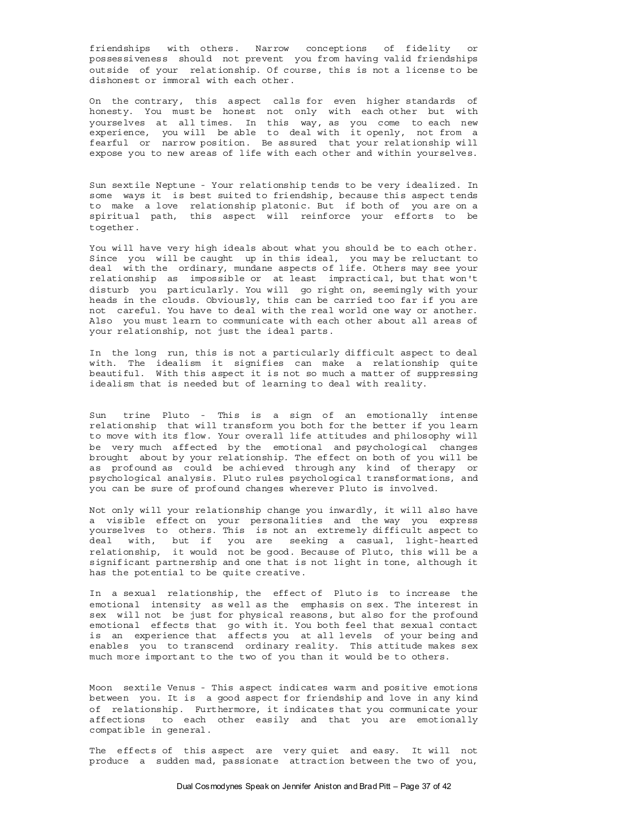friendships with others. Narrow conceptions of fidelity or possessiveness should not prevent you from having valid friendships outside of your relationship. Of course, this is not a license to be dishonest or immoral with each other.

On the contrary, this aspect calls for even higher standards of honesty. You must be honest not only with each other but with yourselves at all times. In this way, as you come to each new experience, you will be able to deal with it openly, not from a fearful or narrow position. Be assured that your relationship will expose you to new areas of life with each other and within yourselves.

Sun sextile Neptune - Your relationship tends to be very idealized. In some ways it is best suited to friendship, because this aspect tends to make a love relationship platonic. But if both of you are on a spiritual path, this aspect will reinforce your efforts to be together.

You will have very high ideals about what you should be to each other. Since you will be caught up in this ideal, you may be reluctant to deal with the ordinary, mundane aspects of life. Others may see your relationship as impossible or at least impractical, but that won't disturb you particularly. You will go right on, seemingly with your heads in the clouds. Obviously, this can be carried too far if you are not careful. You have to deal with the real world one way or another. Also you must learn to communicate with each other about all areas of your relationship, not just the ideal parts.

In the long run, this is not a particularly difficult aspect to deal with. The idealism it signifies can make a relationship quite beautiful. With this aspect it is not so much a matter of suppressing idealism that is needed but of learning to deal with reality.

Sun trine Pluto - This is a sign of an emotionally intense relationship that will transform you both for the better if you learn to move with its flow. Your overall life attitudes and philosophy will be very much affected by the emotional and psychological changes brought about by your relationship. The effect on both of you will be as profound as could be achieved through any kind of therapy or psychological analysis. Pluto rules psychological transformations, and you can be sure of profound changes wherever Pluto is involved.

Not only will your relationship change you inwardly, it will also have a visible effect on your personalities and the way you express yourselves to others. This is not an extremely difficult aspect to deal with, but if you are seeking a casual, light-hearted relationship, it would not be good. Because of Pluto, this will be a significant partnership and one that is not light in tone, although it has the potential to be quite creative.

In a sexual relationship, the effect of Pluto is to increase the emotional intensity as well as the emphasis on sex. The interest in sex will not be just for physical reasons, but also for the profound emotional effects that go with it. You both feel that sexual contact is an experience that affects you at all levels of your being and enables you to transcend ordinary reality. This attitude makes sex much more important to the two of you than it would be to others.

Moon sextile Venus - This aspect indicates warm and positive emotions between you. It is a good aspect for friendship and love in any kind of relationship. Furthermore, it indicates that you communicate your affections to each other easily and that you are emotionally compatible in general.

The effects of this aspect are very quiet and easy. It will not produce a sudden mad, passionate attraction between the two of you,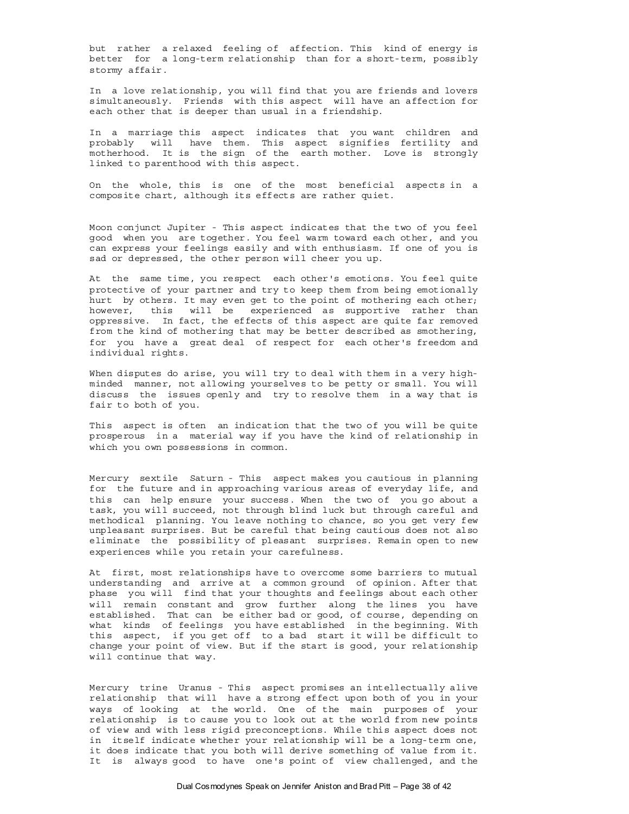but rather a relaxed feeling of affection. This kind of energy is better for a long-term relationship than for a short-term, possibly stormy affair.

In a love relationship, you will find that you are friends and lovers simultaneously. Friends with this aspect will have an affection for each other that is deeper than usual in a friendship.

In a marriage this aspect indicates that you want children and probably will have them. This aspect signifies fertility and motherhood. It is the sign of the earth mother. Love is strongly linked to parenthood with this aspect.

On the whole, this is one of the most beneficial aspects in a composite chart, although its effects are rather quiet.

Moon conjunct Jupiter - This aspect indicates that the two of you feel good when you are together. You feel warm toward each other, and you can express your feelings easily and with enthusiasm. If one of you is sad or depressed, the other person will cheer you up.

At the same time, you respect each other's emotions. You feel quite protective of your partner and try to keep them from being emotionally hurt by others. It may even get to the point of mothering each other; however, this will be experienced as supportive rather than oppressive. In fact, the effects of this aspect are quite far removed from the kind of mothering that may be better described as smothering, for you have a great deal of respect for each other's freedom and individual rights.

When disputes do arise, you will try to deal with them in a very highminded manner, not allowing yourselves to be petty or small. You will discuss the issues openly and try to resolve them in a way that is fair to both of you.

This aspect is often an indication that the two of you will be quite prosperous in a material way if you have the kind of relationship in which you own possessions in common.

Mercury sextile Saturn - This aspect makes you cautious in planning for the future and in approaching various areas of everyday life, and this can help ensure your success. When the two of you go about a task, you will succeed, not through blind luck but through careful and methodical planning. You leave nothing to chance, so you get very few unpleasant surprises. But be careful that being cautious does not also eliminate the possibility of pleasant surprises. Remain open to new experiences while you retain your carefulness.

At first, most relationships have to overcome some barriers to mutual understanding and arrive at a common ground of opinion. After that phase you will find that your thoughts and feelings about each other will remain constant and grow further along the lines you have established. That can be either bad or good, of course, depending on what kinds of feelings you have established in the beginning. With this aspect, if you get off to a bad start it will be difficult to change your point of view. But if the start is good, your relationship will continue that way.

Mercury trine Uranus - This aspect promises an intellectually alive relationship that will have a strong effect upon both of you in your ways of looking at the world. One of the main purposes of your relationship is to cause you to look out at the world from new points of view and with less rigid preconceptions. While this aspect does not in itself indicate whether your relationship will be a long-term one, it does indicate that you both will derive something of value from it. It is always good to have one's point of view challenged, and the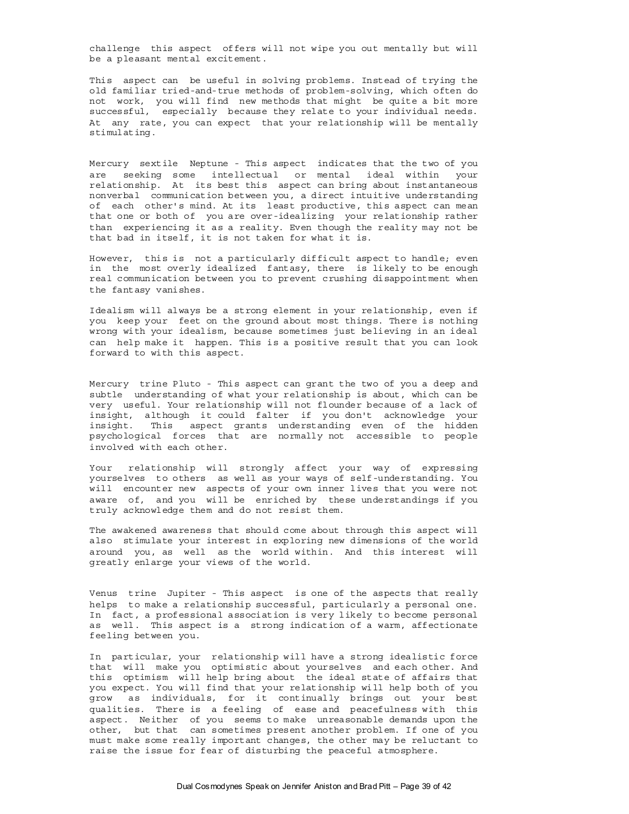challenge this aspect offers will not wipe you out mentally but will be a pleasant mental excitement.

This aspect can be useful in solving problems. Instead of trying the old familiar tried-and-true methods of problem-solving, which often do not work, you will find new methods that might be quite a bit more successful, especially because they relate to your individual needs. At any rate, you can expect that your relationship will be mentally stimulating.

Mercury sextile Neptune - This aspect indicates that the two of you are seeking some intellectual or mental ideal within your relationship. At its best this aspect can bring about instantaneous nonverbal communication between you, a direct intuitive understanding of each other's mind. At its least productive, this aspect can mean that one or both of you are over-idealizing your relationship rather than experiencing it as a reality. Even though the reality may not be that bad in itself, it is not taken for what it is.

However, this is not a particularly difficult aspect to handle; even in the most overly idealized fantasy, there is likely to be enough real communication between you to prevent crushing disappointment when the fantasy vanishes.

Idealism will always be a strong element in your relationship, even if you keep your feet on the ground about most things. There is nothing wrong with your idealism, because sometimes just believing in an ideal can help make it happen. This is a positive result that you can look forward to with this aspect.

Mercury trine Pluto - This aspect can grant the two of you a deep and subtle understanding of what your relationship is about, which can be very useful. Your relationship will not flounder because of a lack of insight, although it could falter if you don't acknowledge your insight. This aspect grants understanding even of the hidden psychological forces that are normally not accessible to people involved with each other.

Your relationship will strongly affect your way of expressing yourselves to others as well as your ways of self-understanding. You will encounter new aspects of your own inner lives that you were not aware of, and you will be enriched by these understandings if you truly acknowledge them and do not resist them.

The awakened awareness that should come about through this aspect will also stimulate your interest in exploring new dimensions of the world around you, as well as the world within. And this interest will greatly enlarge your views of the world.

Venus trine Jupiter - This aspect is one of the aspects that really helps to make a relationship successful, particularly a personal one. In fact, a professional association is very likely to become personal as well. This aspect is a strong indication of a warm, affectionate feeling between you.

In particular, your relationship will have a strong idealistic force that will make you optimistic about yourselves and each other. And this optimism will help bring about the ideal state of affairs that you expect. You will find that your relationship will help both of you grow as individuals, for it continually brings out your best qualities. There is a feeling of ease and peacefulness with this aspect. Neither of you seems to make unreasonable demands upon the other, but that can sometimes present another problem. If one of you must make some really important changes, the other may be reluctant to raise the issue for fear of disturbing the peaceful atmosphere.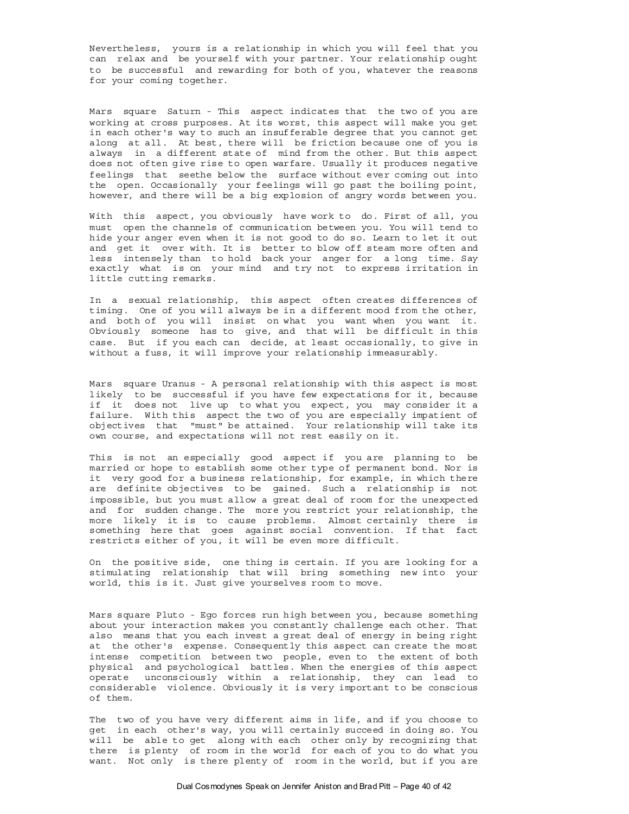Nevertheless, yours is a relationship in which you will feel that you can relax and be yourself with your partner. Your relationship ought to be successful and rewarding for both of you, whatever the reasons for your coming together.

Mars square Saturn - This aspect indicates that the two of you are working at cross purposes. At its worst, this aspect will make you get in each other's way to such an insufferable degree that you cannot get along at all. At best, there will be friction because one of you is always in a different state of mind from the other. But this aspect does not often give rise to open warfare. Usually it produces negative feelings that seethe below the surface without ever coming out into the open. Occasionally your feelings will go past the boiling point, however, and there will be a big explosion of angry words between you.

With this aspect, you obviously have work to do. First of all, you must open the channels of communication between you. You will tend to hide your anger even when it is not good to do so. Learn to let it out and get it over with. It is better to blow off steam more often and less intensely than to hold back your anger for a long time. Say exactly what is on your mind and try not to express irritation in little cutting remarks.

In a sexual relationship, this aspect often creates differences of timing. One of you will always be in a different mood from the other, and both of you will insist on what you want when you want it. Obviously someone has to give, and that will be difficult in this case. But if you each can decide, at least occasionally, to give in without a fuss, it will improve your relationship immeasurably.

Mars square Uranus - A personal relationship with this aspect is most likely to be successful if you have few expectations for it, because if it does not live up to what you expect, you may consider it a failure. With this aspect the two of you are especially impatient of objectives that "must" be attained. Your relationship will take its own course, and expectations will not rest easily on it.

This is not an especially good aspect if you are planning to be married or hope to establish some other type of permanent bond. Nor is it very good for a business relationship, for example, in which there are definite objectives to be gained. Such a relationship is not impossible, but you must allow a great deal of room for the unexpected and for sudden change. The more you restrict your relationship, the more likely it is to cause problems. Almost certainly there is something here that goes against social convention. If that fact restricts either of you, it will be even more difficult.

On the positive side, one thing is certain. If you are looking for a stimulating relationship that will bring something new into your world, this is it. Just give yourselves room to move.

Mars square Pluto - Ego forces run high between you, because something about your interaction makes you constantly challenge each other. That also means that you each invest a great deal of energy in being right at the other's expense. Consequently this aspect can create the most intense competition between two people, even to the extent of both physical and psychological battles. When the energies of this aspect operate unconsciously within a relationship, they can lead to considerable violence. Obviously it is very important to be conscious of them.

The two of you have very different aims in life, and if you choose to get in each other's way, you will certainly succeed in doing so. You will be able to get along with each other only by recognizing that there is plenty of room in the world for each of you to do what you want. Not only is there plenty of room in the world, but if you are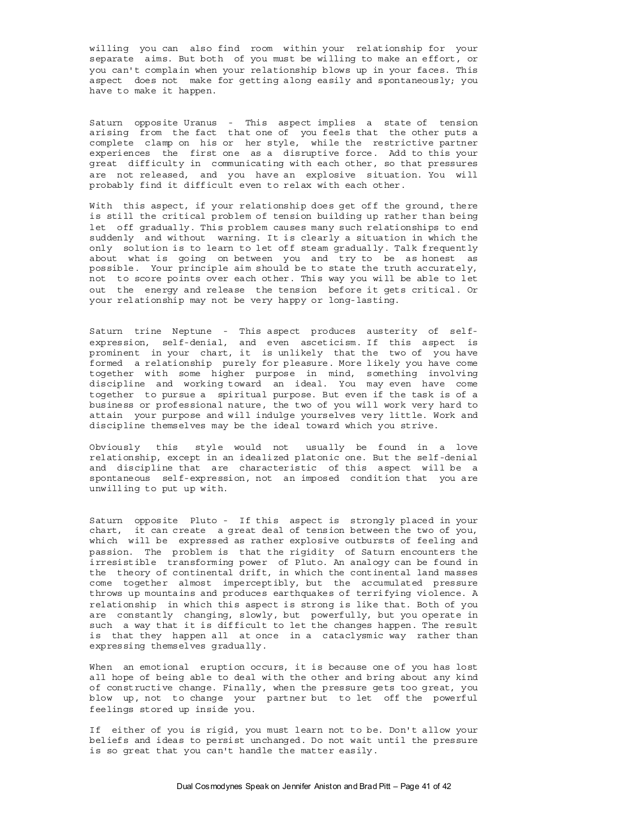willing you can also find room within your relationship for your separate aims. But both of you must be willing to make an effort, or you can't complain when your relationship blows up in your faces. This aspect does not make for getting along easily and spontaneously; you have to make it happen.

Saturn opposite Uranus - This aspect implies a state of tension arising from the fact that one of you feels that the other puts a complete clamp on his or her style, while the restrictive partner experiences the first one as a disruptive force. Add to this your great difficulty in communicating with each other, so that pressures are not released, and you have an explosive situation. You will probably find it difficult even to relax with each other.

With this aspect, if your relationship does get off the ground, there is still the critical problem of tension building up rather than being let off gradually. This problem causes many such relationships to end suddenly and without warning. It is clearly a situation in which the only solution is to learn to let off steam gradually. Talk frequently about what is going on between you and try to be as honest as possible. Your principle aim should be to state the truth accurately, not to score points over each other. This way you will be able to let out the energy and release the tension before it gets critical. Or your relationship may not be very happy or long-lasting.

Saturn trine Neptune - This aspect produces austerity of selfexpression, self-denial, and even asceticism. If this aspect is prominent in your chart, it is unlikely that the two of you have formed a relationship purely for pleasure. More likely you have come together with some higher purpose in mind, something involving discipline and working toward an ideal. You may even have come together to pursue a spiritual purpose. But even if the task is of a business or professional nature, the two of you will work very hard to attain your purpose and will indulge yourselves very little. Work and discipline themselves may be the ideal toward which you strive.

Obviously this style would not usually be found in a love relationship, except in an idealized platonic one. But the self-denial and discipline that are characteristic of this aspect will be a spontaneous self-expression, not an imposed condition that you are unwilling to put up with.

Saturn opposite Pluto - If this aspect is strongly placed in your chart, it can create a great deal of tension between the two of you, which will be expressed as rather explosive outbursts of feeling and passion. The problem is that the rigidity of Saturn encounters the irresistible transforming power of Pluto. An analogy can be found in the theory of continental drift, in which the continental land masses come together almost imperceptibly, but the accumulated pressure throws up mountains and produces earthquakes of terrifying violence. A relationship in which this aspect is strong is like that. Both of you are constantly changing, slowly, but powerfully, but you operate in such a way that it is difficult to let the changes happen. The result is that they happen all at once in a cataclysmic way rather than expressing themselves gradually.

When an emotional eruption occurs, it is because one of you has lost all hope of being able to deal with the other and bring about any kind of constructive change. Finally, when the pressure gets too great, you blow up, not to change your partner but to let off the powerful feelings stored up inside you.

If either of you is rigid, you must learn not to be. Don't allow your beliefs and ideas to persist unchanged. Do not wait until the pressure is so great that you can't handle the matter easily.